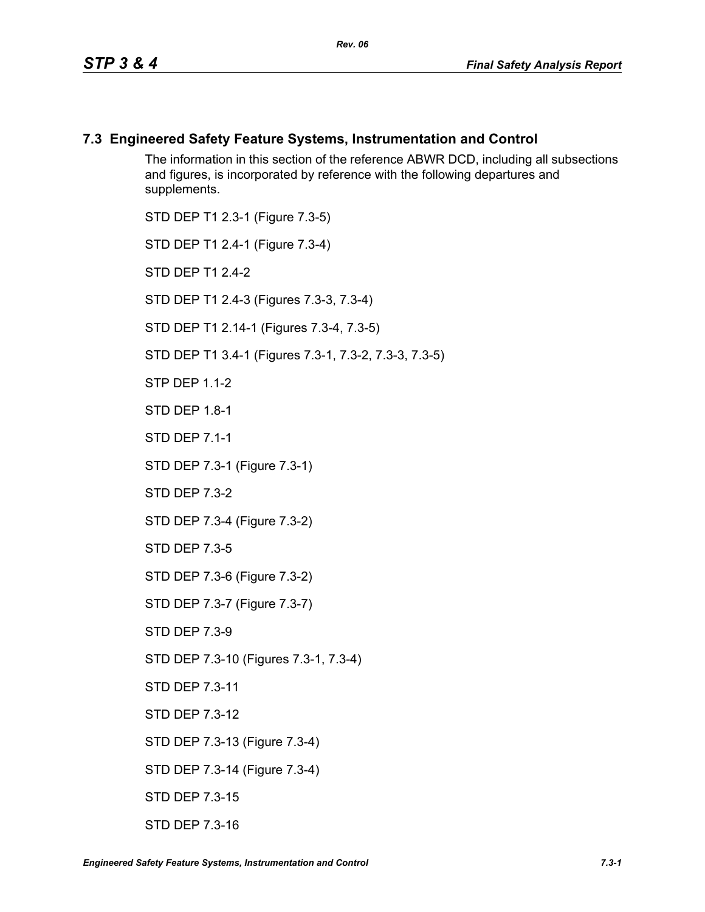#### **7.3 Engineered Safety Feature Systems, Instrumentation and Control**

The information in this section of the reference ABWR DCD, including all subsections and figures, is incorporated by reference with the following departures and supplements.

STD DEP T1 2.3-1 (Figure 7.3-5) STD DEP T1 2.4-1 (Figure 7.3-4) STD DFP T1 2 4-2 STD DEP T1 2.4-3 (Figures 7.3-3, 7.3-4) STD DEP T1 2.14-1 (Figures 7.3-4, 7.3-5) STD DEP T1 3.4-1 (Figures 7.3-1, 7.3-2, 7.3-3, 7.3-5) **STP DFP 1 1-2** STD DEP 1.8-1 STD DEP 7.1-1 STD DEP 7.3-1 (Figure 7.3-1) STD DEP 7.3-2 STD DEP 7.3-4 (Figure 7.3-2) STD DEP 7.3-5 STD DEP 7.3-6 (Figure 7.3-2) STD DEP 7.3-7 (Figure 7.3-7) STD DEP 7.3-9 STD DEP 7.3-10 (Figures 7.3-1, 7.3-4) STD DEP 7.3-11 STD DEP 7.3-12 STD DEP 7.3-13 (Figure 7.3-4) STD DEP 7.3-14 (Figure 7.3-4) STD DEP 7.3-15

STD DEP 7.3-16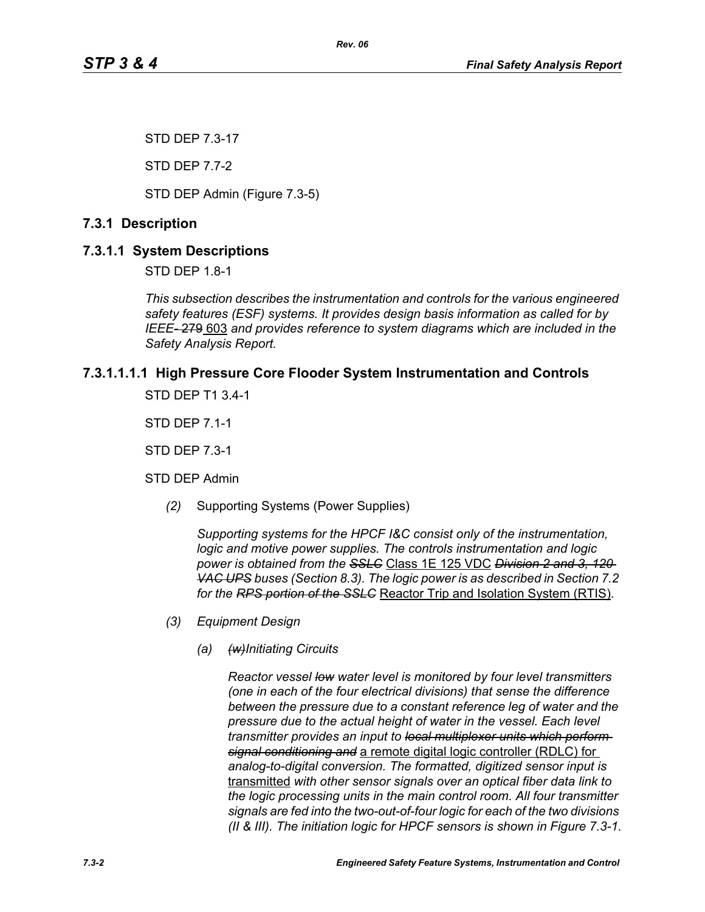STD DEP 7.3-17

STD DEP 7.7-2

STD DEP Admin (Figure 7.3-5)

# **7.3.1 Description**

# **7.3.1.1 System Descriptions**

STD DEP 1.8-1

*This subsection describes the instrumentation and controls for the various engineered safety features (ESF) systems. It provides design basis information as called for by IEEE-* 279 603 *and provides reference to system diagrams which are included in the Safety Analysis Report.*

# **7.3.1.1.1.1 High Pressure Core Flooder System Instrumentation and Controls**

STD DEP T1 3.4-1

STD DEP 7.1-1

STD DEP 7.3-1

STD DEP Admin

*(2)* Supporting Systems (Power Supplies)

*Supporting systems for the HPCF I&C consist only of the instrumentation, logic and motive power supplies. The controls instrumentation and logic power is obtained from the SSLC* Class 1E 125 VDC *Division 2 and 3, 120 VAC UPS buses (Section 8.3). The logic power is as described in Section 7.2 for the RPS portion of the SSLC* Reactor Trip and Isolation System (RTIS)*.*

- *(3) Equipment Design*
	- *(a) (w)Initiating Circuits*

*Reactor vessel low water level is monitored by four level transmitters (one in each of the four electrical divisions) that sense the difference between the pressure due to a constant reference leg of water and the pressure due to the actual height of water in the vessel. Each level transmitter provides an input to local multiplexer units which perform signal conditioning and* a remote digital logic controller (RDLC) for *analog-to-digital conversion. The formatted, digitized sensor input is*  transmitted *with other sensor signals over an optical fiber data link to the logic processing units in the main control room. All four transmitter signals are fed into the two-out-of-four logic for each of the two divisions (II & III). The initiation logic for HPCF sensors is shown in Figure 7.3-1.*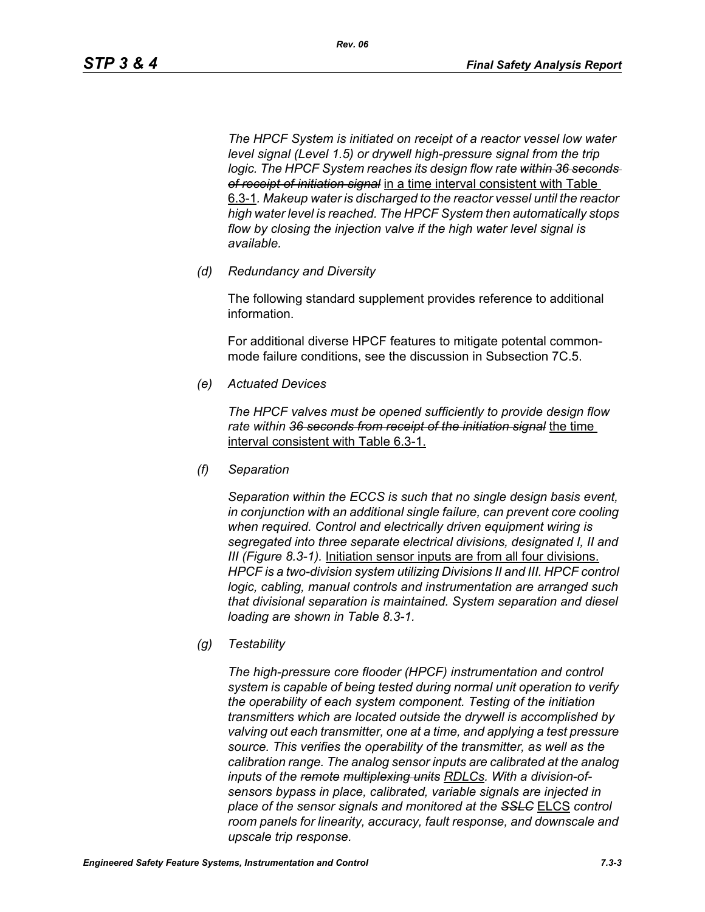*The HPCF System is initiated on receipt of a reactor vessel low water level signal (Level 1.5) or drywell high-pressure signal from the trip logic. The HPCF System reaches its design flow rate within 36 seconds of receipt of initiation signal* in a time interval consistent with Table 6.3-1*. Makeup water is discharged to the reactor vessel until the reactor high water level is reached. The HPCF System then automatically stops flow by closing the injection valve if the high water level signal is available.*

*(d) Redundancy and Diversity*

The following standard supplement provides reference to additional information.

For additional diverse HPCF features to mitigate potental commonmode failure conditions, see the discussion in Subsection 7C.5.

*(e) Actuated Devices*

*The HPCF valves must be opened sufficiently to provide design flow rate within 36 seconds from receipt of the initiation signal* the time interval consistent with Table 6.3-1.

*(f) Separation*

*Separation within the ECCS is such that no single design basis event, in conjunction with an additional single failure, can prevent core cooling when required. Control and electrically driven equipment wiring is segregated into three separate electrical divisions, designated I, II and III (Figure 8.3-1).* Initiation sensor inputs are from all four divisions. *HPCF is a two-division system utilizing Divisions II and III. HPCF control logic, cabling, manual controls and instrumentation are arranged such that divisional separation is maintained. System separation and diesel loading are shown in Table 8.3-1.*

*(g) Testability*

*The high-pressure core flooder (HPCF) instrumentation and control system is capable of being tested during normal unit operation to verify the operability of each system component. Testing of the initiation transmitters which are located outside the drywell is accomplished by valving out each transmitter, one at a time, and applying a test pressure source. This verifies the operability of the transmitter, as well as the calibration range. The analog sensor inputs are calibrated at the analog inputs of the remote multiplexing units RDLCs. With a division-ofsensors bypass in place, calibrated, variable signals are injected in place of the sensor signals and monitored at the SSLC* ELCS *control room panels for linearity, accuracy, fault response, and downscale and upscale trip response.*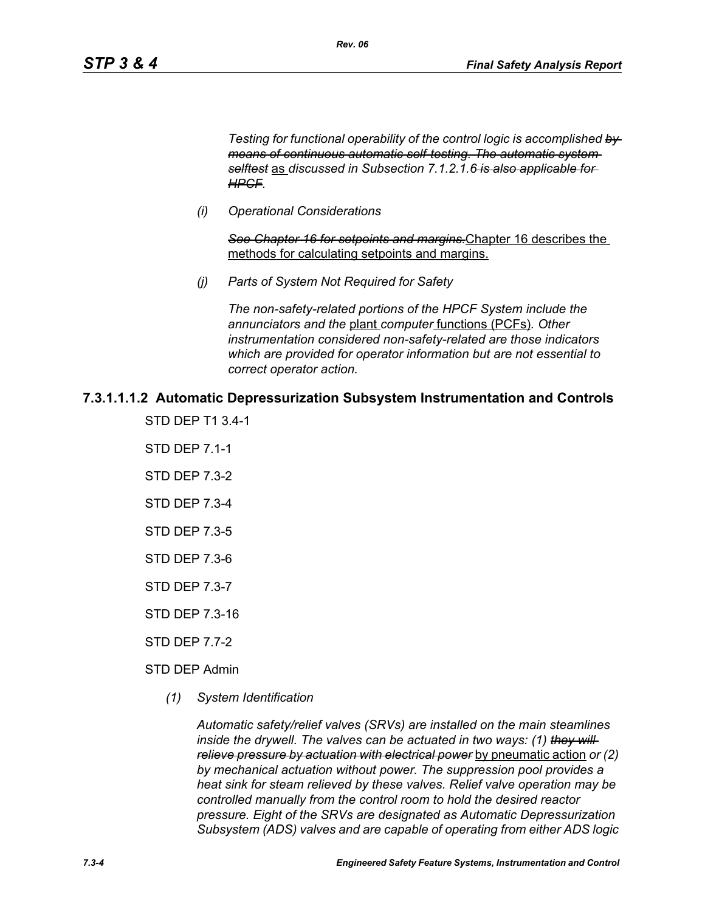*Testing for functional operability of the control logic is accomplished by means of continuous automatic self-testing. The automatic system selftest* as *discussed in Subsection 7.1.2.1.6 is also applicable for HPCF.*

*(i) Operational Considerations*

*See Chapter 16 for setpoints and margins.*Chapter 16 describes the methods for calculating setpoints and margins.

*(j) Parts of System Not Required for Safety*

*Rev. 06*

*The non-safety-related portions of the HPCF System include the annunciators and the* plant *computer* functions (PCFs)*. Other instrumentation considered non-safety-related are those indicators which are provided for operator information but are not essential to correct operator action.*

#### **7.3.1.1.1.2 Automatic Depressurization Subsystem Instrumentation and Controls**

- STD DEP T1 3.4-1
- STD DEP 7.1-1
- STD DEP 7.3-2
- STD DEP 7.3-4
- STD DEP 7.3-5
- STD DEP 7.3-6
- STD DEP 7.3-7
- STD DEP 7.3-16
- STD DEP 7.7-2
- STD DEP Admin
	- *(1) System Identification*

*Automatic safety/relief valves (SRVs) are installed on the main steamlines inside the drywell. The valves can be actuated in two ways: (1) they will relieve pressure by actuation with electrical power* by pneumatic action *or (2) by mechanical actuation without power. The suppression pool provides a heat sink for steam relieved by these valves. Relief valve operation may be controlled manually from the control room to hold the desired reactor pressure. Eight of the SRVs are designated as Automatic Depressurization Subsystem (ADS) valves and are capable of operating from either ADS logic*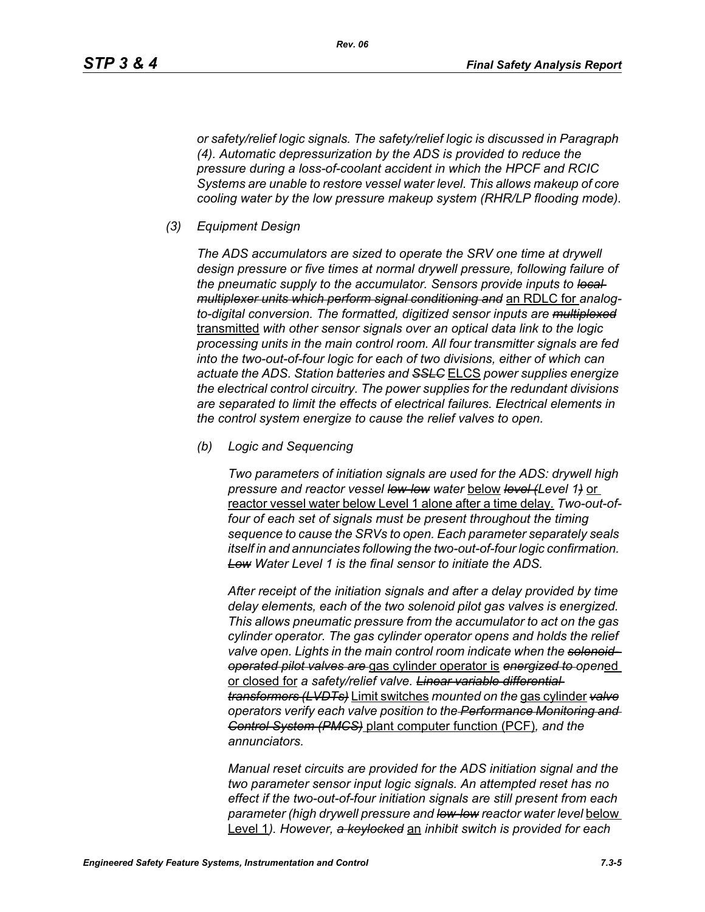*or safety/relief logic signals. The safety/relief logic is discussed in Paragraph (4). Automatic depressurization by the ADS is provided to reduce the pressure during a loss-of-coolant accident in which the HPCF and RCIC Systems are unable to restore vessel water level. This allows makeup of core cooling water by the low pressure makeup system (RHR/LP flooding mode).*

*(3) Equipment Design*

*The ADS accumulators are sized to operate the SRV one time at drywell design pressure or five times at normal drywell pressure, following failure of the pneumatic supply to the accumulator. Sensors provide inputs to local multiplexer units which perform signal conditioning and* an RDLC for *analogto-digital conversion. The formatted, digitized sensor inputs are multiplexed* transmitted *with other sensor signals over an optical data link to the logic processing units in the main control room. All four transmitter signals are fed into the two-out-of-four logic for each of two divisions, either of which can actuate the ADS. Station batteries and SSLC* ELCS *power supplies energize the electrical control circuitry. The power supplies for the redundant divisions are separated to limit the effects of electrical failures. Electrical elements in the control system energize to cause the relief valves to open.*

*(b) Logic and Sequencing*

*Two parameters of initiation signals are used for the ADS: drywell high pressure and reactor vessel low-low water* below *level (Level 1)* or reactor vessel water below Level 1 alone after a time delay*. Two-out-offour of each set of signals must be present throughout the timing sequence to cause the SRVs to open. Each parameter separately seals itself in and annunciates following the two-out-of-four logic confirmation. Low Water Level 1 is the final sensor to initiate the ADS.*

*After receipt of the initiation signals and after a delay provided by time delay elements, each of the two solenoid pilot gas valves is energized. This allows pneumatic pressure from the accumulator to act on the gas cylinder operator. The gas cylinder operator opens and holds the relief valve open. Lights in the main control room indicate when the solenoidoperated pilot valves are* gas cylinder operator is *energized to open*ed or closed for *a safety/relief valve. Linear variable differential transformers (LVDTs)* Limit switches *mounted on the* gas cylinder *valve operators verify each valve position to the Performance Monitoring and Control System (PMCS)* plant computer function (PCF)*, and the annunciators.*

*Manual reset circuits are provided for the ADS initiation signal and the two parameter sensor input logic signals. An attempted reset has no effect if the two-out-of-four initiation signals are still present from each parameter (high drywell pressure and low-low reactor water level* below Level 1*). However, a keylocked* an *inhibit switch is provided for each*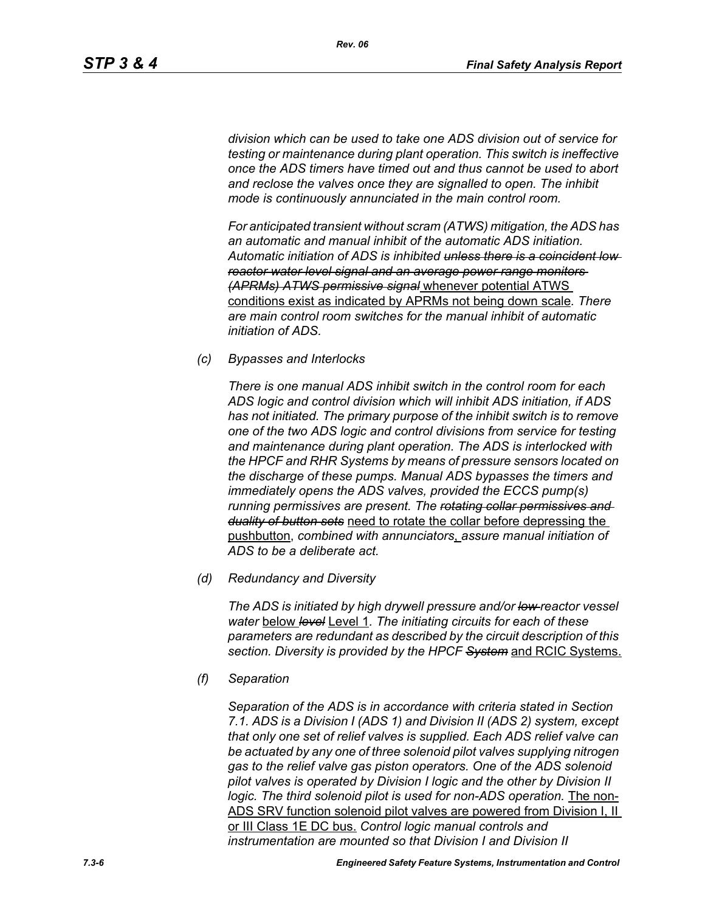*division which can be used to take one ADS division out of service for testing or maintenance during plant operation. This switch is ineffective once the ADS timers have timed out and thus cannot be used to abort and reclose the valves once they are signalled to open. The inhibit mode is continuously annunciated in the main control room.*

*For anticipated transient without scram (ATWS) mitigation, the ADS has an automatic and manual inhibit of the automatic ADS initiation. Automatic initiation of ADS is inhibited unless there is a coincident low reactor water level signal and an average power range monitors (APRMs) ATWS permissive signal* whenever potential ATWS conditions exist as indicated by APRMs not being down scale*. There are main control room switches for the manual inhibit of automatic initiation of ADS.*

*(c) Bypasses and Interlocks*

*There is one manual ADS inhibit switch in the control room for each ADS logic and control division which will inhibit ADS initiation, if ADS has not initiated. The primary purpose of the inhibit switch is to remove one of the two ADS logic and control divisions from service for testing and maintenance during plant operation. The ADS is interlocked with the HPCF and RHR Systems by means of pressure sensors located on the discharge of these pumps. Manual ADS bypasses the timers and immediately opens the ADS valves, provided the ECCS pump(s) running permissives are present. The rotating collar permissives and duality of button sets* need to rotate the collar before depressing the pushbutton, *combined with annunciators*, *assure manual initiation of ADS to be a deliberate act.*

*(d) Redundancy and Diversity*

*The ADS is initiated by high drywell pressure and/or low reactor vessel water* below *level* Level 1*. The initiating circuits for each of these parameters are redundant as described by the circuit description of this section. Diversity is provided by the HPCF System* and RCIC Systems.

*(f) Separation*

*Separation of the ADS is in accordance with criteria stated in Section 7.1. ADS is a Division I (ADS 1) and Division II (ADS 2) system, except that only one set of relief valves is supplied. Each ADS relief valve can be actuated by any one of three solenoid pilot valves supplying nitrogen gas to the relief valve gas piston operators. One of the ADS solenoid pilot valves is operated by Division I logic and the other by Division II logic. The third solenoid pilot is used for non-ADS operation.* The non-ADS SRV function solenoid pilot valves are powered from Division I, II or III Class 1E DC bus. *Control logic manual controls and instrumentation are mounted so that Division I and Division II*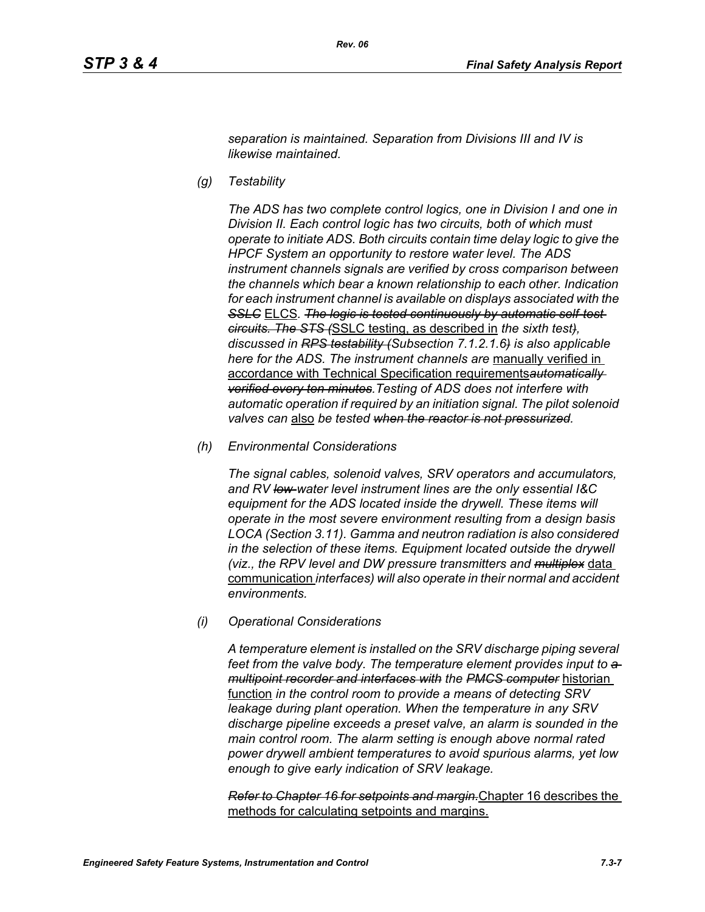*separation is maintained. Separation from Divisions III and IV is likewise maintained.*

*(g) Testability*

*The ADS has two complete control logics, one in Division I and one in Division II. Each control logic has two circuits, both of which must operate to initiate ADS. Both circuits contain time delay logic to give the HPCF System an opportunity to restore water level. The ADS instrument channels signals are verified by cross comparison between the channels which bear a known relationship to each other. Indication for each instrument channel is available on displays associated with the*  **SSLC** ELCS. The logic is tested continuously by automatic self-test*circuits. The STS (*SSLC testing, as described in *the sixth test), discussed in RPS testability (Subsection 7.1.2.1.6) is also applicable here for the ADS. The instrument channels are* manually verified in accordance with Technical Specification requirements*automatically verified every ten minutes.Testing of ADS does not interfere with automatic operation if required by an initiation signal. The pilot solenoid valves can* also *be tested when the reactor is not pressurized.*

*(h) Environmental Considerations*

*The signal cables, solenoid valves, SRV operators and accumulators, and RV low-water level instrument lines are the only essential I&C equipment for the ADS located inside the drywell. These items will operate in the most severe environment resulting from a design basis LOCA (Section 3.11). Gamma and neutron radiation is also considered in the selection of these items. Equipment located outside the drywell (viz., the RPV level and DW pressure transmitters and multiplex* data communication *interfaces) will also operate in their normal and accident environments.*

*(i) Operational Considerations*

*A temperature element is installed on the SRV discharge piping several*  feet from the valve body. The temperature element provides input to  $a$ *multipoint recorder and interfaces with the PMCS computer* historian function *in the control room to provide a means of detecting SRV leakage during plant operation. When the temperature in any SRV discharge pipeline exceeds a preset valve, an alarm is sounded in the main control room. The alarm setting is enough above normal rated power drywell ambient temperatures to avoid spurious alarms, yet low enough to give early indication of SRV leakage.*

*Refer to Chapter 16 for setpoints and margin.*Chapter 16 describes the methods for calculating setpoints and margins.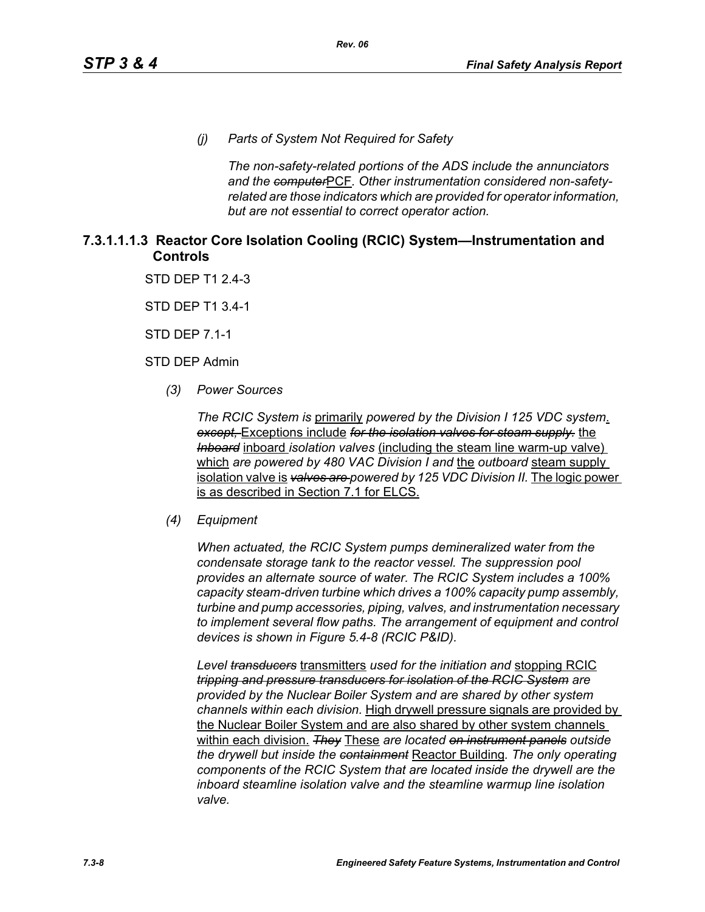*(j) Parts of System Not Required for Safety*

*The non-safety-related portions of the ADS include the annunciators and the computer*PCF*. Other instrumentation considered non-safetyrelated are those indicators which are provided for operator information, but are not essential to correct operator action.*

#### **7.3.1.1.1.3 Reactor Core Isolation Cooling (RCIC) System—Instrumentation and Controls**

STD DEP T1 2.4-3

STD DEP T1 3.4-1

STD DEP 7.1-1

STD DEP Admin

*(3) Power Sources*

*The RCIC System is* primarily *powered by the Division I 125 VDC system*. *except,* Exceptions include *for the isolation valves for steam supply.* the *Inboard* inboard *isolation valves* (including the steam line warm-up valve) which *are powered by 480 VAC Division I and* the *outboard* steam supply isolation valve is *valves are powered by 125 VDC Division II.* The logic power is as described in Section 7.1 for ELCS.

#### *(4) Equipment*

*When actuated, the RCIC System pumps demineralized water from the condensate storage tank to the reactor vessel. The suppression pool provides an alternate source of water. The RCIC System includes a 100% capacity steam-driven turbine which drives a 100% capacity pump assembly, turbine and pump accessories, piping, valves, and instrumentation necessary to implement several flow paths. The arrangement of equipment and control devices is shown in Figure 5.4-8 (RCIC P&ID).*

*Level transducers* transmitters *used for the initiation and* stopping RCIC *tripping and pressure transducers for isolation of the RCIC System are provided by the Nuclear Boiler System and are shared by other system channels within each division.* High drywell pressure signals are provided by the Nuclear Boiler System and are also shared by other system channels within each division. *They* These *are located on instrument panels outside the drywell but inside the containment* Reactor Building*. The only operating components of the RCIC System that are located inside the drywell are the inboard steamline isolation valve and the steamline warmup line isolation valve.*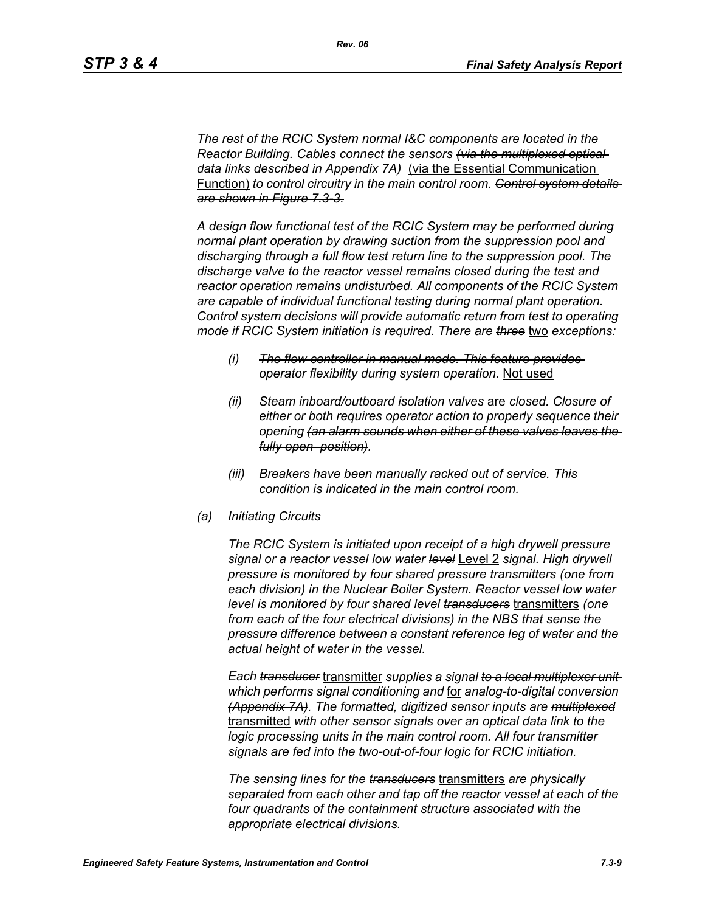*The rest of the RCIC System normal I&C components are located in the Reactor Building. Cables connect the sensors (via the multiplexed optical data links described in Appendix 7A)* (via the Essential Communication Function) *to control circuitry in the main control room. Control system details are shown in Figure 7.3-3.*

*A design flow functional test of the RCIC System may be performed during normal plant operation by drawing suction from the suppression pool and discharging through a full flow test return line to the suppression pool. The discharge valve to the reactor vessel remains closed during the test and reactor operation remains undisturbed. All components of the RCIC System are capable of individual functional testing during normal plant operation. Control system decisions will provide automatic return from test to operating mode if RCIC System initiation is required. There are three* two *exceptions:*

- *(i) The flow controller in manual mode. This feature provides operator flexibility during system operation.* Not used
- *(ii) Steam inboard/outboard isolation valves* are *closed. Closure of either or both requires operator action to properly sequence their opening (an alarm sounds when either of these valves leaves the fully open position).*
- *(iii) Breakers have been manually racked out of service. This condition is indicated in the main control room.*
- *(a) Initiating Circuits*

*The RCIC System is initiated upon receipt of a high drywell pressure signal or a reactor vessel low water level* Level 2 *signal. High drywell pressure is monitored by four shared pressure transmitters (one from each division) in the Nuclear Boiler System. Reactor vessel low water level is monitored by four shared level transducers* transmitters *(one from each of the four electrical divisions) in the NBS that sense the pressure difference between a constant reference leg of water and the actual height of water in the vessel.*

*Each transducer* transmitter *supplies a signal to a local multiplexer unit which performs signal conditioning and* for *analog-to-digital conversion (Appendix 7A). The formatted, digitized sensor inputs are multiplexed* transmitted *with other sensor signals over an optical data link to the logic processing units in the main control room. All four transmitter signals are fed into the two-out-of-four logic for RCIC initiation.*

*The sensing lines for the transducers* transmitters *are physically separated from each other and tap off the reactor vessel at each of the four quadrants of the containment structure associated with the appropriate electrical divisions.*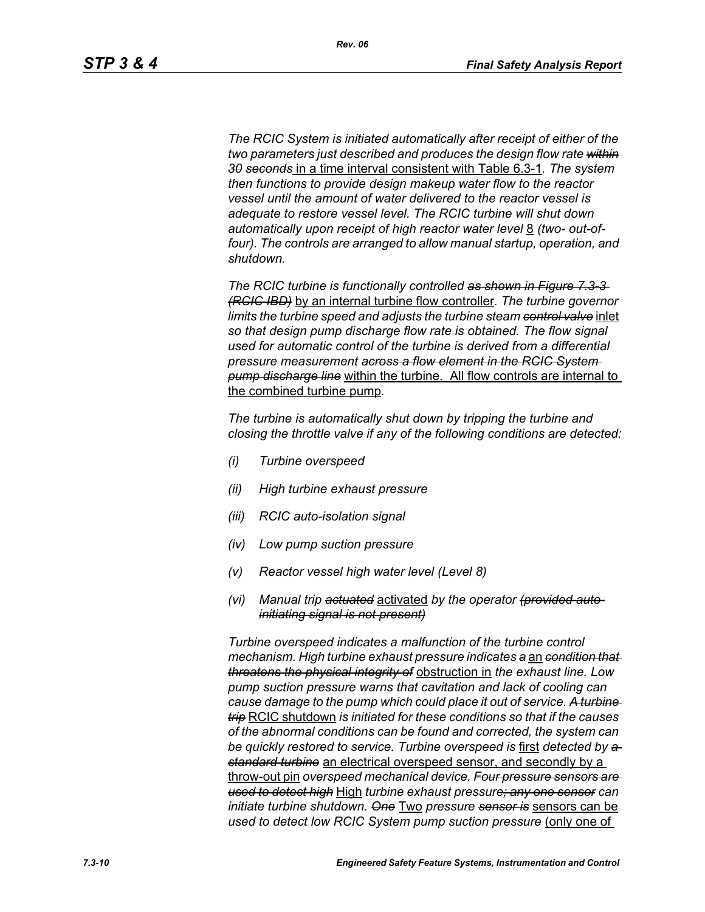*The RCIC System is initiated automatically after receipt of either of the two parameters just described and produces the design flow rate within 30 seconds* in a time interval consistent with Table 6.3-1*. The system then functions to provide design makeup water flow to the reactor vessel until the amount of water delivered to the reactor vessel is adequate to restore vessel level. The RCIC turbine will shut down*  automatically upon receipt of high reactor water level 8 *(two- out-of*four). The controls are arranged to allow manual startup, operation, and *shutdown.*

*The RCIC turbine is functionally controlled as shown in Figure 7.3-3 (RCIC IBD)* by an internal turbine flow controller*. The turbine governor limits the turbine speed and adjusts the turbine steam control valve* inlet *so that design pump discharge flow rate is obtained. The flow signal used for automatic control of the turbine is derived from a differential pressure measurement across a flow element in the RCIC System pump discharge line* within the turbine. All flow controls are internal to the combined turbine pump*.*

*The turbine is automatically shut down by tripping the turbine and closing the throttle valve if any of the following conditions are detected:*

- *(i) Turbine overspeed*
- *(ii) High turbine exhaust pressure*
- *(iii) RCIC auto-isolation signal*
- *(iv) Low pump suction pressure*
- *(v) Reactor vessel high water level (Level 8)*
- *(vi) Manual trip actuated* activated *by the operator (provided autoinitiating signal is not present)*

*Turbine overspeed indicates a malfunction of the turbine control mechanism. High turbine exhaust pressure indicates a* an *condition that threatens the physical integrity of* obstruction in *the exhaust line. Low pump suction pressure warns that cavitation and lack of cooling can cause damage to the pump which could place it out of service. A turbine trip* RCIC shutdown *is initiated for these conditions so that if the causes of the abnormal conditions can be found and corrected, the system can be quickly restored to service. Turbine overspeed is* first *detected by a standard turbine* an electrical overspeed sensor, and secondly by a throw-out pin *overspeed mechanical device. Four pressure sensors are used to detect high* High *turbine exhaust pressure; any one sensor can initiate turbine shutdown. One* Two *pressure sensor is* sensors can be *used to detect low RCIC System pump suction pressure (only one of*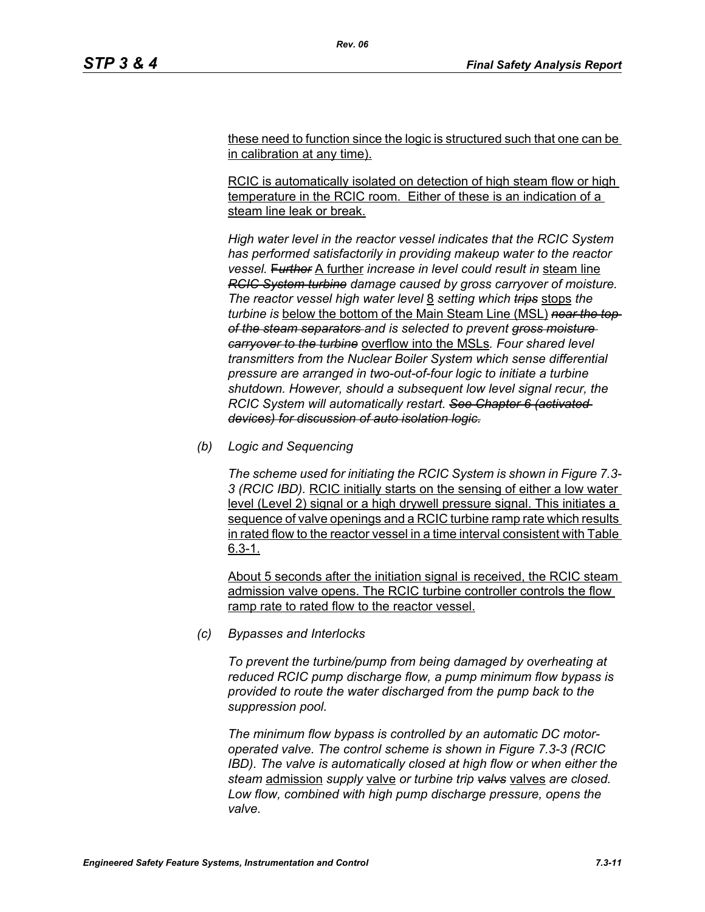these need to function since the logic is structured such that one can be in calibration at any time).

RCIC is automatically isolated on detection of high steam flow or high temperature in the RCIC room. Either of these is an indication of a steam line leak or break.

*High water level in the reactor vessel indicates that the RCIC System has performed satisfactorily in providing makeup water to the reactor vessel.* F*urther* A further *increase in level could result in* steam line *RCIC System turbine damage caused by gross carryover of moisture. The reactor vessel high water level* 8 *setting which trips* stops *the turbine is* below the bottom of the Main Steam Line (MSL) *near the top of the steam separators and is selected to prevent gross moisture carryover to the turbine* overflow into the MSLs*. Four shared level transmitters from the Nuclear Boiler System which sense differential pressure are arranged in two-out-of-four logic to initiate a turbine shutdown. However, should a subsequent low level signal recur, the RCIC System will automatically restart. See Chapter 6 (activated devices) for discussion of auto isolation logic.*

*(b) Logic and Sequencing*

*The scheme used for initiating the RCIC System is shown in Figure 7.3- 3 (RCIC IBD).* RCIC initially starts on the sensing of either a low water level (Level 2) signal or a high drywell pressure signal. This initiates a sequence of valve openings and a RCIC turbine ramp rate which results in rated flow to the reactor vessel in a time interval consistent with Table 6.3-1.

About 5 seconds after the initiation signal is received, the RCIC steam admission valve opens. The RCIC turbine controller controls the flow ramp rate to rated flow to the reactor vessel.

*(c) Bypasses and Interlocks*

*To prevent the turbine/pump from being damaged by overheating at reduced RCIC pump discharge flow, a pump minimum flow bypass is provided to route the water discharged from the pump back to the suppression pool.*

*The minimum flow bypass is controlled by an automatic DC motoroperated valve. The control scheme is shown in Figure 7.3-3 (RCIC IBD). The valve is automatically closed at high flow or when either the steam* admission *supply* valve *or turbine trip valvs* valves *are closed. Low flow, combined with high pump discharge pressure, opens the valve.*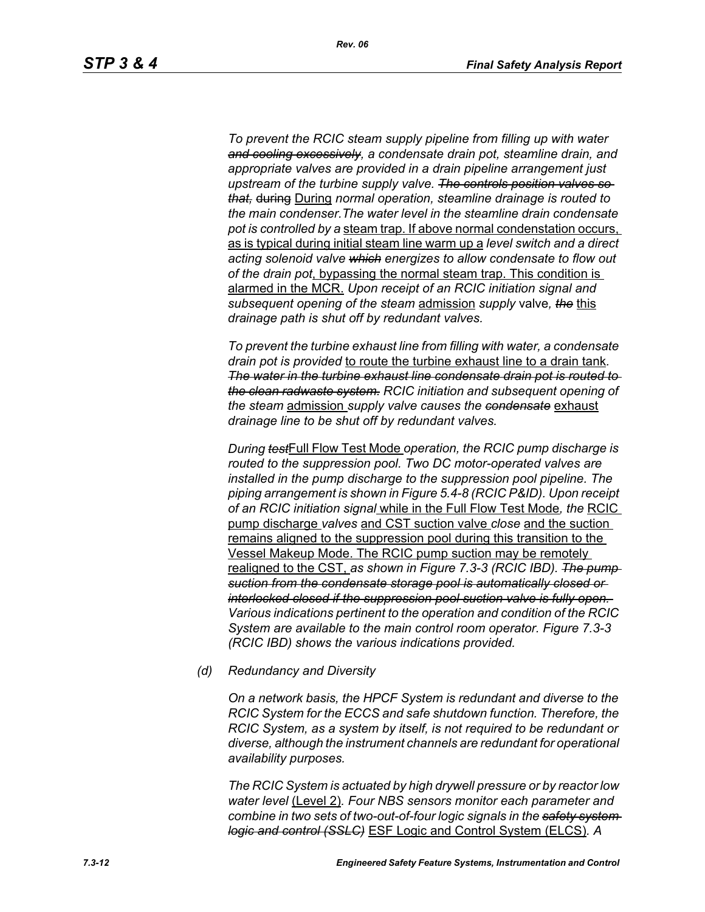*To prevent the RCIC steam supply pipeline from filling up with water and cooling excessively, a condensate drain pot, steamline drain, and appropriate valves are provided in a drain pipeline arrangement just upstream of the turbine supply valve. The controls position valves so that,* during During *normal operation, steamline drainage is routed to the main condenser.The water level in the steamline drain condensate pot is controlled by a* steam trap. If above normal condenstation occurs, as is typical during initial steam line warm up a *level switch and a direct acting solenoid valve which energizes to allow condensate to flow out of the drain pot*, bypassing the normal steam trap. This condition is alarmed in the MCR. *Upon receipt of an RCIC initiation signal and subsequent opening of the steam* admission *supply* valve*, the* this *drainage path is shut off by redundant valves.*

*To prevent the turbine exhaust line from filling with water, a condensate drain pot is provided* to route the turbine exhaust line to a drain tank*. The water in the turbine exhaust line condensate drain pot is routed to the clean radwaste system. RCIC initiation and subsequent opening of the steam* admission *supply valve causes the condensate* exhaust *drainage line to be shut off by redundant valves.*

*During test*Full Flow Test Mode *operation, the RCIC pump discharge is routed to the suppression pool. Two DC motor-operated valves are installed in the pump discharge to the suppression pool pipeline. The piping arrangement is shown in Figure 5.4-8 (RCIC P&ID). Upon receipt of an RCIC initiation signal* while in the Full Flow Test Mode*, the* RCIC pump discharge *valves* and CST suction valve *close* and the suction remains aligned to the suppression pool during this transition to the Vessel Makeup Mode. The RCIC pump suction may be remotely realigned to the CST, *as shown in Figure 7.3-3 (RCIC IBD). The pump suction from the condensate storage pool is automatically closed or interlocked closed if the suppression pool suction valve is fully open. Various indications pertinent to the operation and condition of the RCIC System are available to the main control room operator. Figure 7.3-3 (RCIC IBD) shows the various indications provided.*

*(d) Redundancy and Diversity*

*On a network basis, the HPCF System is redundant and diverse to the RCIC System for the ECCS and safe shutdown function. Therefore, the RCIC System, as a system by itself, is not required to be redundant or diverse, although the instrument channels are redundant for operational availability purposes.*

*The RCIC System is actuated by high drywell pressure or by reactor low water level* (Level 2)*. Four NBS sensors monitor each parameter and combine in two sets of two-out-of-four logic signals in the safety system logic and control (SSLC)* ESF Logic and Control System (ELCS)*. A*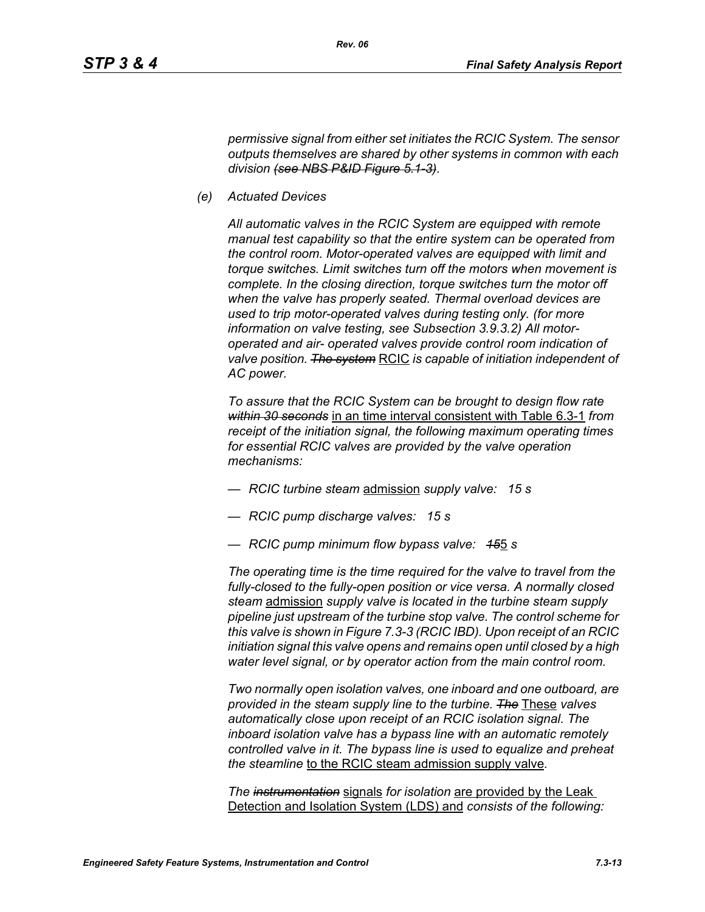*permissive signal from either set initiates the RCIC System. The sensor outputs themselves are shared by other systems in common with each division (see NBS P&ID Figure 5.1-3).*

*(e) Actuated Devices*

*All automatic valves in the RCIC System are equipped with remote manual test capability so that the entire system can be operated from the control room. Motor-operated valves are equipped with limit and torque switches. Limit switches turn off the motors when movement is complete. In the closing direction, torque switches turn the motor off when the valve has properly seated. Thermal overload devices are used to trip motor-operated valves during testing only. (for more information on valve testing, see Subsection 3.9.3.2) All motoroperated and air- operated valves provide control room indication of valve position. The system* RCIC *is capable of initiation independent of AC power.*

*To assure that the RCIC System can be brought to design flow rate within 30 seconds* in an time interval consistent with Table 6.3-1 *from receipt of the initiation signal, the following maximum operating times for essential RCIC valves are provided by the valve operation mechanisms:*

- *RCIC turbine steam* admission *supply valve: 15 s*
- *RCIC pump discharge valves: 15 s*
- *RCIC pump minimum flow bypass valve: 15*5 *s*

*The operating time is the time required for the valve to travel from the fully-closed to the fully-open position or vice versa. A normally closed steam* admission *supply valve is located in the turbine steam supply pipeline just upstream of the turbine stop valve. The control scheme for this valve is shown in Figure 7.3-3 (RCIC IBD). Upon receipt of an RCIC initiation signal this valve opens and remains open until closed by a high water level signal, or by operator action from the main control room.*

*Two normally open isolation valves, one inboard and one outboard, are provided in the steam supply line to the turbine. The* These *valves automatically close upon receipt of an RCIC isolation signal. The inboard isolation valve has a bypass line with an automatic remotely controlled valve in it. The bypass line is used to equalize and preheat the steamline* to the RCIC steam admission supply valve*.*

*The instrumentation* signals *for isolation* are provided by the Leak Detection and Isolation System (LDS) and *consists of the following:*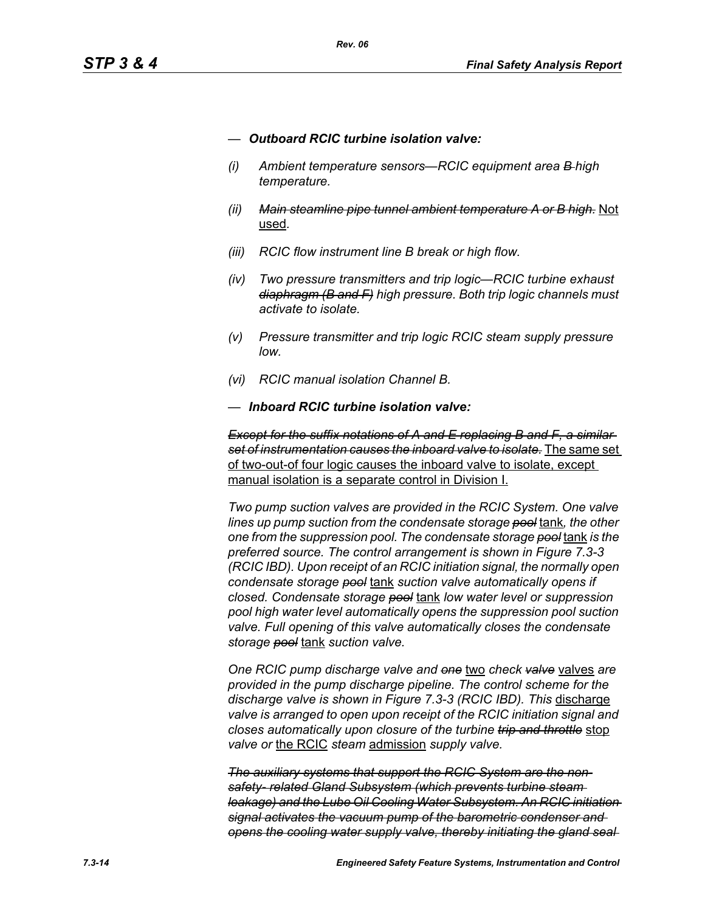- *— Outboard RCIC turbine isolation valve:*
- *(i) Ambient temperature sensors—RCIC equipment area B high temperature.*
- *(ii) Main steamline pipe tunnel ambient temperature A or B high.* Not used*.*
- *(iii) RCIC flow instrument line B break or high flow.*
- *(iv) Two pressure transmitters and trip logic—RCIC turbine exhaust diaphragm (B and F) high pressure. Both trip logic channels must activate to isolate.*
- *(v) Pressure transmitter and trip logic RCIC steam supply pressure low.*
- *(vi) RCIC manual isolation Channel B.*
- *— Inboard RCIC turbine isolation valve:*

*Except for the suffix notations of A and E replacing B and F, a similar set of instrumentation causes the inboard valve to isolate.* The same set of two-out-of four logic causes the inboard valve to isolate, except manual isolation is a separate control in Division I.

*Two pump suction valves are provided in the RCIC System. One valve lines up pump suction from the condensate storage pool* tank*, the other one from the suppression pool. The condensate storage pool* tank *is the preferred source. The control arrangement is shown in Figure 7.3-3 (RCIC IBD). Upon receipt of an RCIC initiation signal, the normally open condensate storage pool* tank *suction valve automatically opens if closed. Condensate storage pool* tank *low water level or suppression pool high water level automatically opens the suppression pool suction valve. Full opening of this valve automatically closes the condensate storage pool* tank *suction valve.*

*One RCIC pump discharge valve and one* two *check valve* valves *are provided in the pump discharge pipeline. The control scheme for the discharge valve is shown in Figure 7.3-3 (RCIC IBD). This* discharge *valve is arranged to open upon receipt of the RCIC initiation signal and closes automatically upon closure of the turbine trip and throttle* stop *valve or* the RCIC *steam* admission *supply valve.*

*The auxiliary systems that support the RCIC System are the nonsafety- related Gland Subsystem (which prevents turbine steam leakage) and the Lube Oil Cooling Water Subsystem. An RCIC initiation signal activates the vacuum pump of the barometric condenser and opens the cooling water supply valve, thereby initiating the gland seal*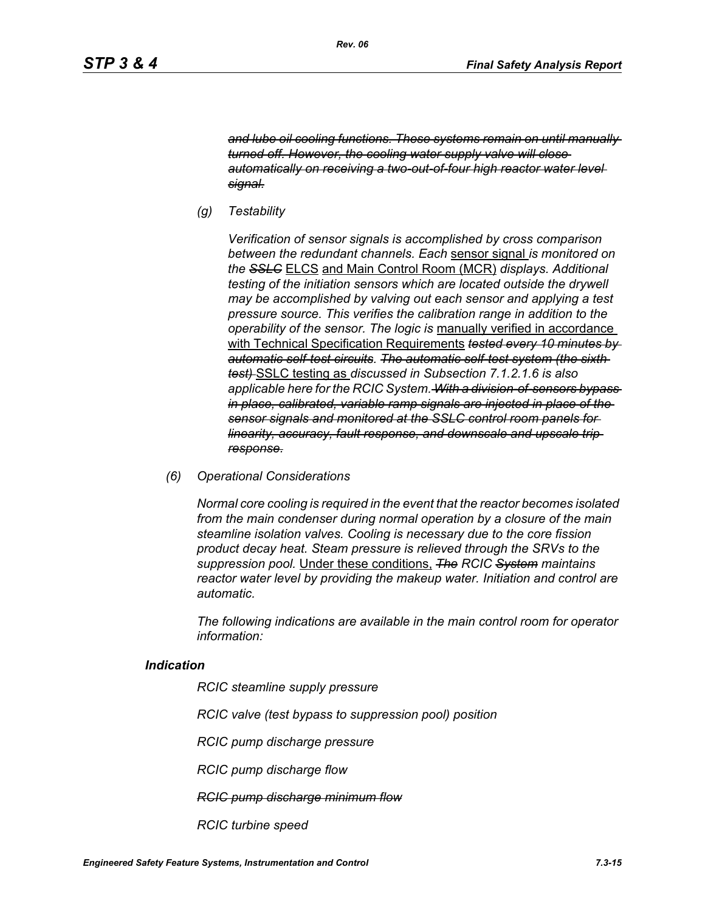*and lube oil cooling functions. These systems remain on until manually turned off. However, the cooling water supply valve will close automatically on receiving a two-out-of-four high reactor water level signal.*

*(g) Testability*

*Verification of sensor signals is accomplished by cross comparison between the redundant channels. Each* sensor signal *is monitored on the SSLC* ELCS and Main Control Room (MCR) *displays. Additional testing of the initiation sensors which are located outside the drywell may be accomplished by valving out each sensor and applying a test pressure source. This verifies the calibration range in addition to the operability of the sensor. The logic is* manually verified in accordance with Technical Specification Requirements *tested every 10 minutes by automatic self-test circuits. The automatic self-test system (the sixth test)* SSLC testing as *discussed in Subsection 7.1.2.1.6 is also applicable here for the RCIC System. With a division-of-sensors bypass in place, calibrated, variable ramp signals are injected in place of the sensor signals and monitored at the SSLC control room panels for linearity, accuracy, fault response, and downscale and upscale trip response.*

*(6) Operational Considerations*

*Normal core cooling is required in the event that the reactor becomes isolated from the main condenser during normal operation by a closure of the main steamline isolation valves. Cooling is necessary due to the core fission product decay heat. Steam pressure is relieved through the SRVs to the suppression pool.* Under these conditions, *The RCIC System maintains reactor water level by providing the makeup water. Initiation and control are automatic.*

*The following indications are available in the main control room for operator information:*

#### *Indication*

*RCIC steamline supply pressure*

*RCIC valve (test bypass to suppression pool) position*

*RCIC pump discharge pressure*

*RCIC pump discharge flow*

*RCIC pump discharge minimum flow*

*RCIC turbine speed*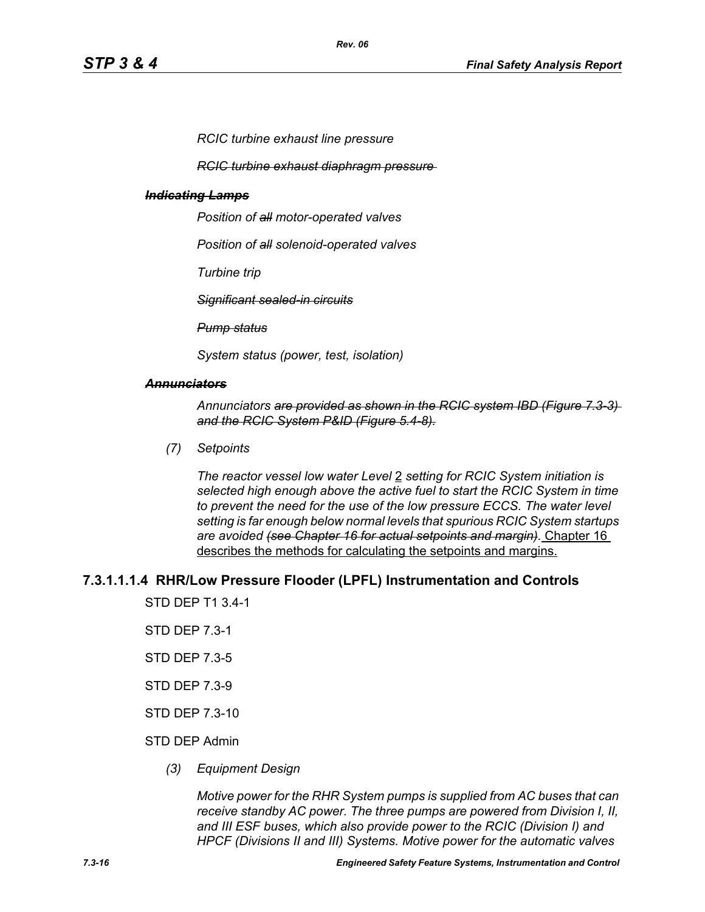*RCIC turbine exhaust line pressure*

*RCIC turbine exhaust diaphragm pressure* 

#### *Indicating Lamps*

*Position of all motor-operated valves*

*Position of all solenoid-operated valves*

*Turbine trip*

*Significant sealed-in circuits*

*Pump status*

*System status (power, test, isolation)*

#### *Annunciators*

*Annunciators are provided as shown in the RCIC system IBD (Figure 7.3-3) and the RCIC System P&ID (Figure 5.4-8).*

*(7) Setpoints*

*The reactor vessel low water Level* 2 *setting for RCIC System initiation is selected high enough above the active fuel to start the RCIC System in time to prevent the need for the use of the low pressure ECCS. The water level setting is far enough below normal levels that spurious RCIC System startups are avoided (see Chapter 16 for actual setpoints and margin).* Chapter 16 describes the methods for calculating the setpoints and margins.

#### **7.3.1.1.1.4 RHR/Low Pressure Flooder (LPFL) Instrumentation and Controls**

STD DEP T1 3.4-1

- STD DEP 7.3-1
- STD DEP 7.3-5
- STD DEP 7.3-9
- STD DEP 7.3-10

#### STD DEP Admin

*(3) Equipment Design*

*Motive power for the RHR System pumps is supplied from AC buses that can receive standby AC power. The three pumps are powered from Division I, II, and III ESF buses, which also provide power to the RCIC (Division I) and HPCF (Divisions II and III) Systems. Motive power for the automatic valves*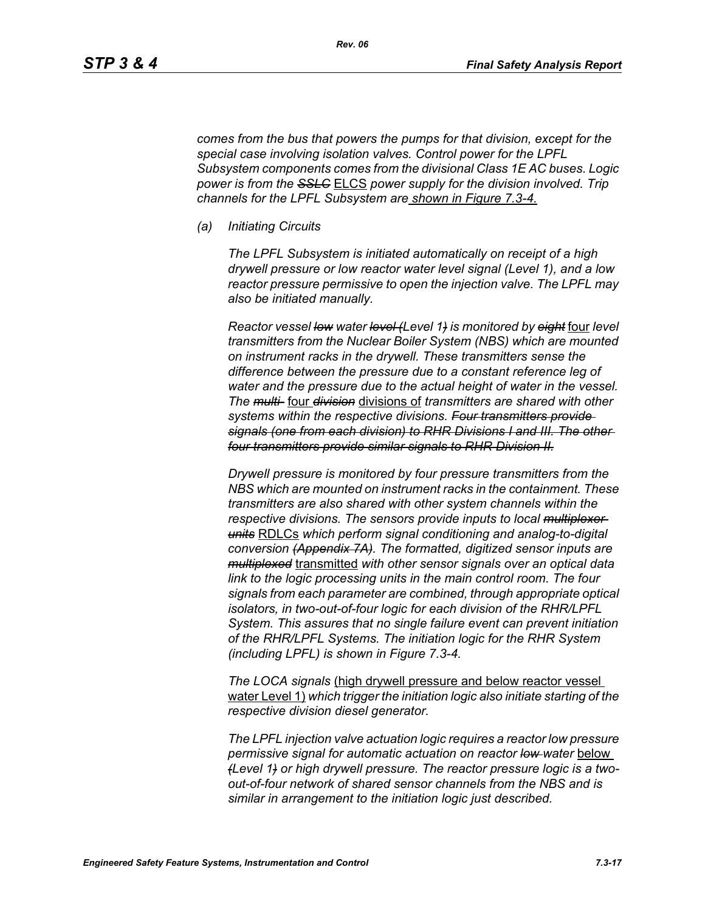*comes from the bus that powers the pumps for that division, except for the special case involving isolation valves. Control power for the LPFL Subsystem components comes from the divisional Class 1E AC buses. Logic power is from the SSLC* ELCS *power supply for the division involved. Trip channels for the LPFL Subsystem are shown in Figure 7.3-4.*

*(a) Initiating Circuits*

*The LPFL Subsystem is initiated automatically on receipt of a high drywell pressure or low reactor water level signal (Level 1), and a low reactor pressure permissive to open the injection valve. The LPFL may also be initiated manually.*

*Reactor vessel low water level (Level 1) is monitored by eight* four *level transmitters from the Nuclear Boiler System (NBS) which are mounted on instrument racks in the drywell. These transmitters sense the difference between the pressure due to a constant reference leg of water and the pressure due to the actual height of water in the vessel. The multi-* four *division* divisions of *transmitters are shared with other systems within the respective divisions. Four transmitters provide signals (one from each division) to RHR Divisions I and III. The other four transmitters provide similar signals to RHR Division II.*

*Drywell pressure is monitored by four pressure transmitters from the NBS which are mounted on instrument racks in the containment. These transmitters are also shared with other system channels within the respective divisions. The sensors provide inputs to local multiplexer units* RDLCs *which perform signal conditioning and analog-to-digital conversion (Appendix 7A). The formatted, digitized sensor inputs are multiplexed* transmitted *with other sensor signals over an optical data link to the logic processing units in the main control room. The four signals from each parameter are combined, through appropriate optical isolators, in two-out-of-four logic for each division of the RHR/LPFL System. This assures that no single failure event can prevent initiation of the RHR/LPFL Systems. The initiation logic for the RHR System (including LPFL) is shown in Figure 7.3-4.*

*The LOCA signals* (high drywell pressure and below reactor vessel water Level 1) *which trigger the initiation logic also initiate starting of the respective division diesel generator.*

*The LPFL injection valve actuation logic requires a reactor low pressure permissive signal for automatic actuation on reactor low water* below *(Level 1) or high drywell pressure. The reactor pressure logic is a twoout-of-four network of shared sensor channels from the NBS and is similar in arrangement to the initiation logic just described.*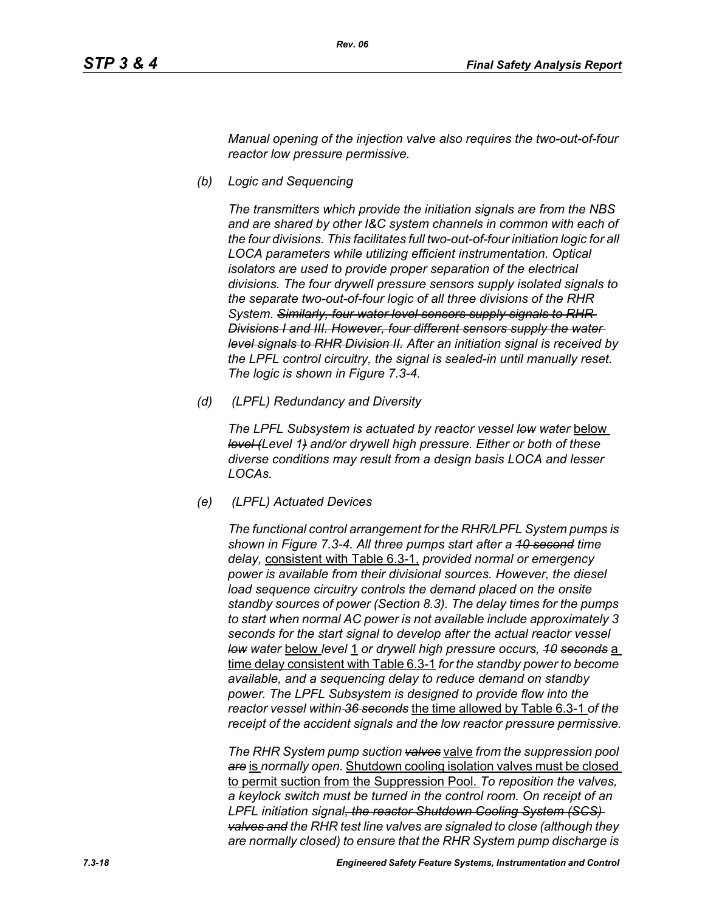*Manual opening of the injection valve also requires the two-out-of-four reactor low pressure permissive.*

*(b) Logic and Sequencing*

*The transmitters which provide the initiation signals are from the NBS and are shared by other I&C system channels in common with each of the four divisions. This facilitates full two-out-of-four initiation logic for all LOCA parameters while utilizing efficient instrumentation. Optical isolators are used to provide proper separation of the electrical divisions. The four drywell pressure sensors supply isolated signals to the separate two-out-of-four logic of all three divisions of the RHR System. Similarly, four water level sensors supply signals to RHR Divisions I and III. However, four different sensors supply the water level signals to RHR Division II. After an initiation signal is received by the LPFL control circuitry, the signal is sealed-in until manually reset. The logic is shown in Figure 7.3-4.*

*(d) (LPFL) Redundancy and Diversity*

The LPFL Subsystem is actuated by reactor vessel low water below *level (Level 1) and/or drywell high pressure. Either or both of these diverse conditions may result from a design basis LOCA and lesser LOCAs.*

*(e) (LPFL) Actuated Devices*

*The functional control arrangement for the RHR/LPFL System pumps is shown in Figure 7.3-4. All three pumps start after a 10 second time delay,* consistent with Table 6.3-1, *provided normal or emergency power is available from their divisional sources. However, the diesel*  load sequence circuitry controls the demand placed on the onsite *standby sources of power (Section 8.3). The delay times for the pumps to start when normal AC power is not available include approximately 3 seconds for the start signal to develop after the actual reactor vessel low water* below *level* 1 *or drywell high pressure occurs, 10 seconds* a time delay consistent with Table 6.3-1 *for the standby power to become available, and a sequencing delay to reduce demand on standby power. The LPFL Subsystem is designed to provide flow into the reactor vessel within 36 seconds* the time allowed by Table 6.3-1 *of the receipt of the accident signals and the low reactor pressure permissive.*

*The RHR System pump suction valves* valve *from the suppression pool are* is *normally open.* Shutdown cooling isolation valves must be closed to permit suction from the Suppression Pool. *To reposition the valves, a keylock switch must be turned in the control room. On receipt of an LPFL initiation signal, the reactor Shutdown Cooling System (SCS) valves and the RHR test line valves are signaled to close (although they are normally closed) to ensure that the RHR System pump discharge is*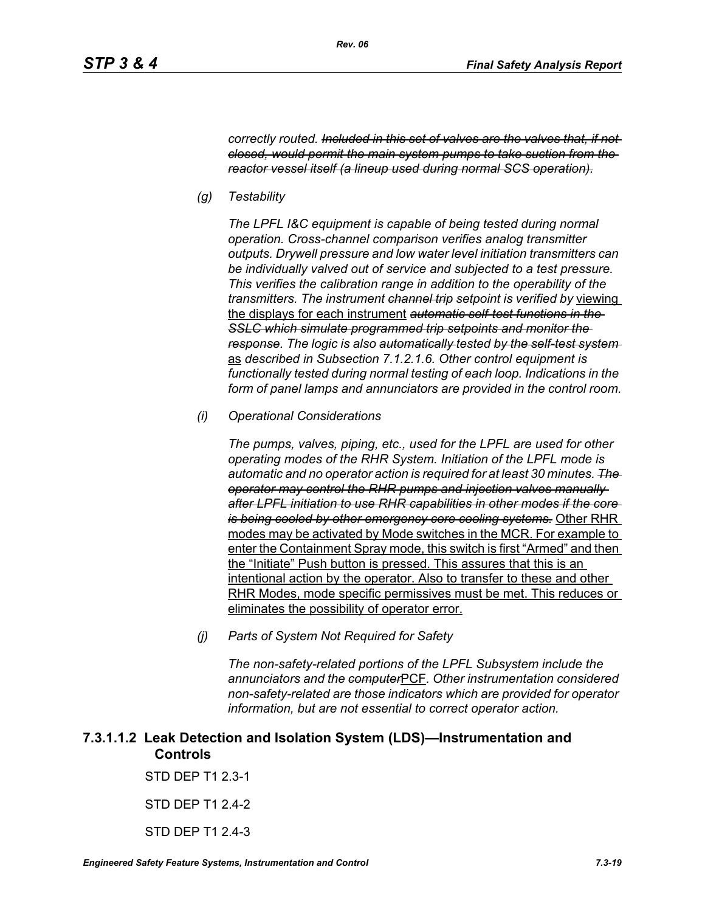*correctly routed. Included in this set of valves are the valves that, if not closed, would permit the main system pumps to take suction from the reactor vessel itself (a lineup used during normal SCS operation).*

*(g) Testability*

*The LPFL I&C equipment is capable of being tested during normal operation. Cross-channel comparison verifies analog transmitter outputs. Drywell pressure and low water level initiation transmitters can be individually valved out of service and subjected to a test pressure. This verifies the calibration range in addition to the operability of the transmitters. The instrument channel trip setpoint is verified by* viewing the displays for each instrument *automatic self-test functions in the SSLC which simulate programmed trip setpoints and monitor the response. The logic is also automatically tested by the self-test system*  as *described in Subsection 7.1.2.1.6. Other control equipment is functionally tested during normal testing of each loop. Indications in the form of panel lamps and annunciators are provided in the control room.*

*(i) Operational Considerations*

*The pumps, valves, piping, etc., used for the LPFL are used for other operating modes of the RHR System. Initiation of the LPFL mode is automatic and no operator action is required for at least 30 minutes. The operator may control the RHR pumps and injection valves manually after LPFL initiation to use RHR capabilities in other modes if the core is being cooled by other emergency core cooling systems.* Other RHR modes may be activated by Mode switches in the MCR. For example to enter the Containment Spray mode, this switch is first "Armed" and then the "Initiate" Push button is pressed. This assures that this is an intentional action by the operator. Also to transfer to these and other RHR Modes, mode specific permissives must be met. This reduces or eliminates the possibility of operator error.

*(j) Parts of System Not Required for Safety*

*The non-safety-related portions of the LPFL Subsystem include the annunciators and the computer*PCF*. Other instrumentation considered non-safety-related are those indicators which are provided for operator information, but are not essential to correct operator action.*

# **7.3.1.1.2 Leak Detection and Isolation System (LDS)—Instrumentation and Controls**

STD DEP T1 2.3-1

STD DEP T1 2.4-2

STD DFP T1 2 4-3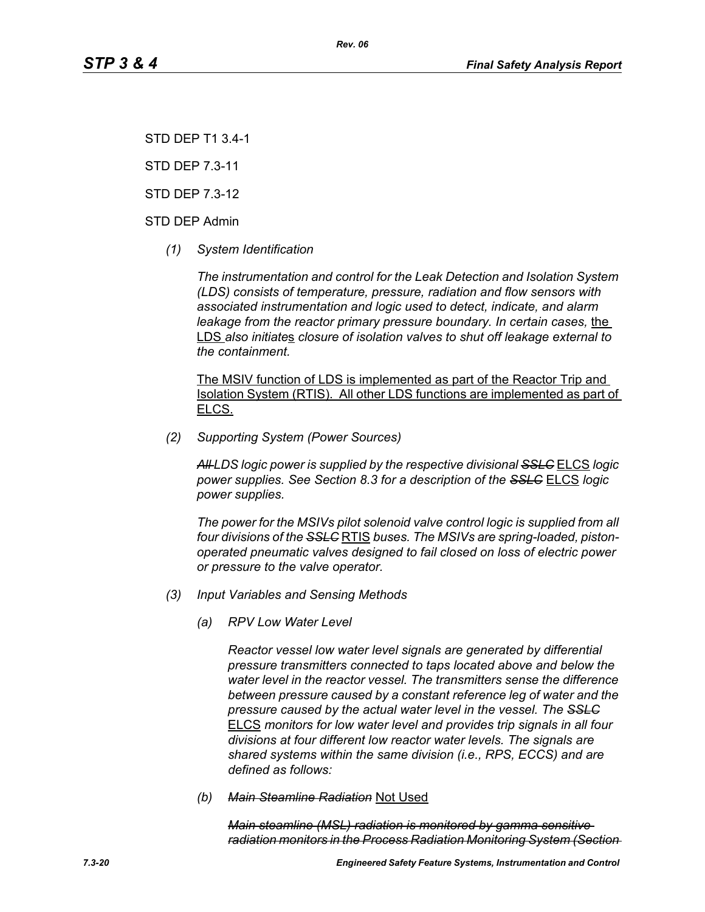STD DEP T1 3.4-1

STD DEP 7.3-11

STD DEP 7.3-12

STD DEP Admin

*(1) System Identification*

*The instrumentation and control for the Leak Detection and Isolation System (LDS) consists of temperature, pressure, radiation and flow sensors with associated instrumentation and logic used to detect, indicate, and alarm leakage from the reactor primary pressure boundary. In certain cases, the* LDS *also initiate*s *closure of isolation valves to shut off leakage external to the containment.*

The MSIV function of LDS is implemented as part of the Reactor Trip and Isolation System (RTIS). All other LDS functions are implemented as part of ELCS.

*(2) Supporting System (Power Sources)*

*All LDS logic power is supplied by the respective divisional SSLC* ELCS *logic power supplies. See Section 8.3 for a description of the SSLC* ELCS *logic power supplies.*

*The power for the MSIVs pilot solenoid valve control logic is supplied from all four divisions of the SSLC* RTIS *buses. The MSIVs are spring-loaded, pistonoperated pneumatic valves designed to fail closed on loss of electric power or pressure to the valve operator.*

- *(3) Input Variables and Sensing Methods*
	- *(a) RPV Low Water Level*

*Reactor vessel low water level signals are generated by differential pressure transmitters connected to taps located above and below the water level in the reactor vessel. The transmitters sense the difference between pressure caused by a constant reference leg of water and the pressure caused by the actual water level in the vessel. The SSLC* ELCS *monitors for low water level and provides trip signals in all four divisions at four different low reactor water levels. The signals are shared systems within the same division (i.e., RPS, ECCS) and are defined as follows:*

*(b) Main Steamline Radiation* Not Used

*Main steamline (MSL) radiation is monitored by gamma sensitive radiation monitors in the Process Radiation Monitoring System (Section*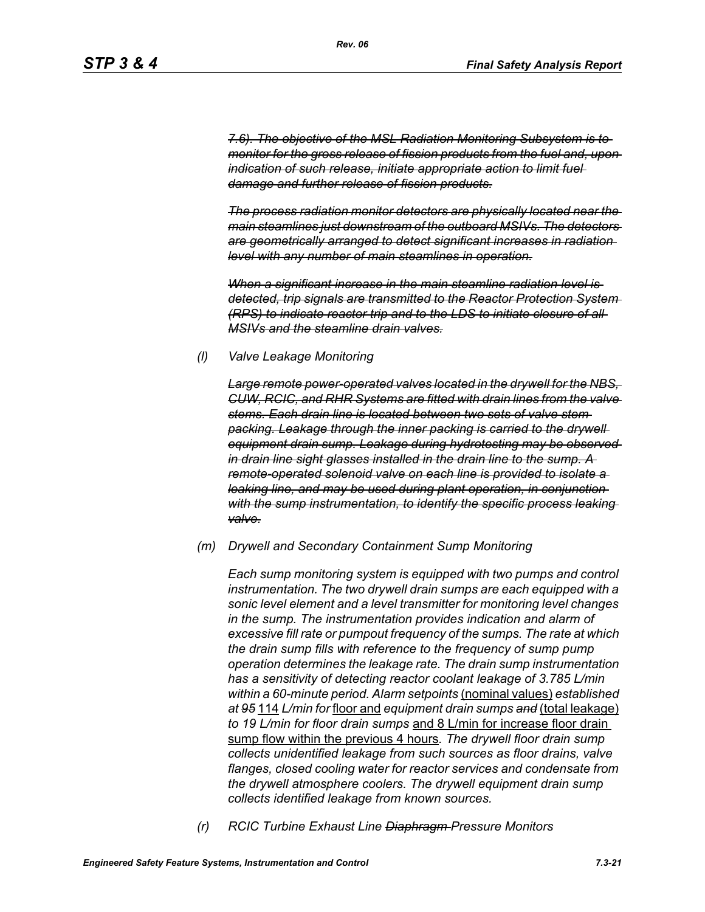*7.6). The objective of the MSL Radiation Monitoring Subsystem is to monitor for the gross release of fission products from the fuel and, upon indication of such release, initiate appropriate action to limit fuel damage and further release of fission products.*

*The process radiation monitor detectors are physically located near the main steamlines just downstream of the outboard MSIVs. The detectors are geometrically arranged to detect significant increases in radiation level with any number of main steamlines in operation.*

*When a significant increase in the main steamline radiation level is detected, trip signals are transmitted to the Reactor Protection System (RPS) to indicate reactor trip and to the LDS to initiate closure of all MSIVs and the steamline drain valves.*

#### *(l) Valve Leakage Monitoring*

*Large remote power-operated valves located in the drywell for the NBS, CUW, RCIC, and RHR Systems are fitted with drain lines from the valve stems. Each drain line is located between two sets of valve stem packing. Leakage through the inner packing is carried to the drywell equipment drain sump. Leakage during hydrotesting may be observed in drain line sight glasses installed in the drain line to the sump. A remote-operated solenoid valve on each line is provided to isolate a leaking line, and may be used during plant operation, in conjunction with the sump instrumentation, to identify the specific process leaking valve.*

#### *(m) Drywell and Secondary Containment Sump Monitoring*

*Each sump monitoring system is equipped with two pumps and control instrumentation. The two drywell drain sumps are each equipped with a sonic level element and a level transmitter for monitoring level changes in the sump. The instrumentation provides indication and alarm of excessive fill rate or pumpout frequency of the sumps. The rate at which the drain sump fills with reference to the frequency of sump pump operation determines the leakage rate. The drain sump instrumentation has a sensitivity of detecting reactor coolant leakage of 3.785 L/min within a 60-minute period. Alarm setpoints* (nominal values) *established at 95* 114 *L/min for* floor and *equipment drain sumps and* (total leakage) *to 19 L/min for floor drain sumps* and 8 L/min for increase floor drain sump flow within the previous 4 hours*. The drywell floor drain sump collects unidentified leakage from such sources as floor drains, valve flanges, closed cooling water for reactor services and condensate from the drywell atmosphere coolers. The drywell equipment drain sump collects identified leakage from known sources.*

*(r) RCIC Turbine Exhaust Line Diaphragm Pressure Monitors*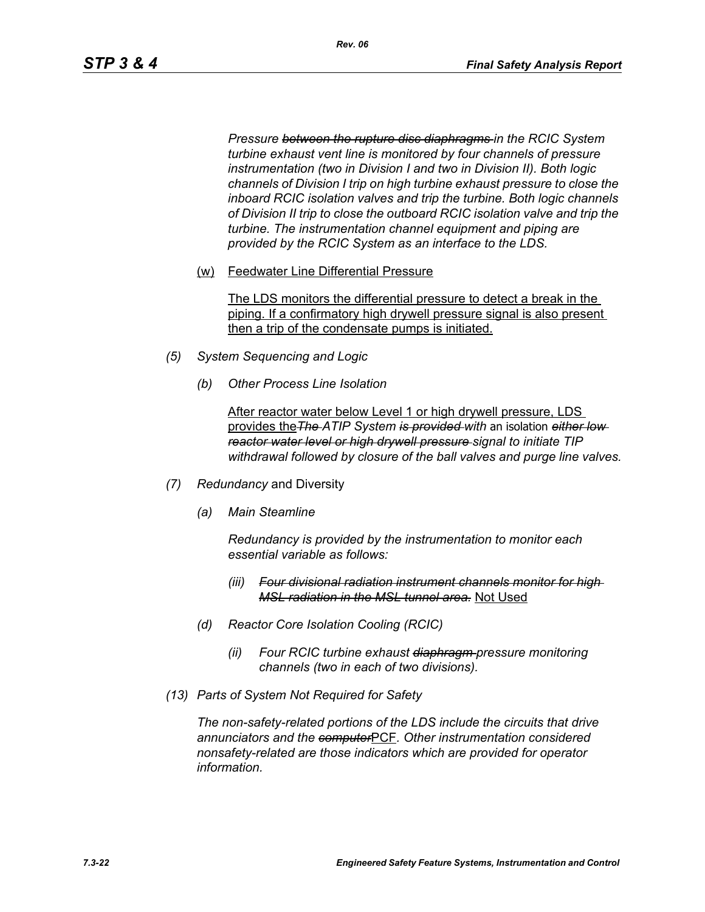*Pressure between the rupture disc diaphragms in the RCIC System turbine exhaust vent line is monitored by four channels of pressure instrumentation (two in Division I and two in Division II). Both logic channels of Division I trip on high turbine exhaust pressure to close the inboard RCIC isolation valves and trip the turbine. Both logic channels of Division II trip to close the outboard RCIC isolation valve and trip the turbine. The instrumentation channel equipment and piping are provided by the RCIC System as an interface to the LDS.*

(w) Feedwater Line Differential Pressure

The LDS monitors the differential pressure to detect a break in the piping. If a confirmatory high drywell pressure signal is also present then a trip of the condensate pumps is initiated.

- *(5) System Sequencing and Logic*
	- *(b) Other Process Line Isolation*

After reactor water below Level 1 or high drywell pressure, LDS provides the*The ATIP System is provided with* an isolation *either low reactor water level or high drywell pressure signal to initiate TIP withdrawal followed by closure of the ball valves and purge line valves.*

- *(7) Redundancy* and Diversity
	- *(a) Main Steamline*

*Redundancy is provided by the instrumentation to monitor each essential variable as follows:*

- *(iii) Four divisional radiation instrument channels monitor for high MSL radiation in the MSL tunnel area.* Not Used
- *(d) Reactor Core Isolation Cooling (RCIC)*
	- *(ii) Four RCIC turbine exhaust diaphragm pressure monitoring channels (two in each of two divisions).*
- *(13) Parts of System Not Required for Safety*

*The non-safety-related portions of the LDS include the circuits that drive annunciators and the computer*PCF*. Other instrumentation considered nonsafety-related are those indicators which are provided for operator information.*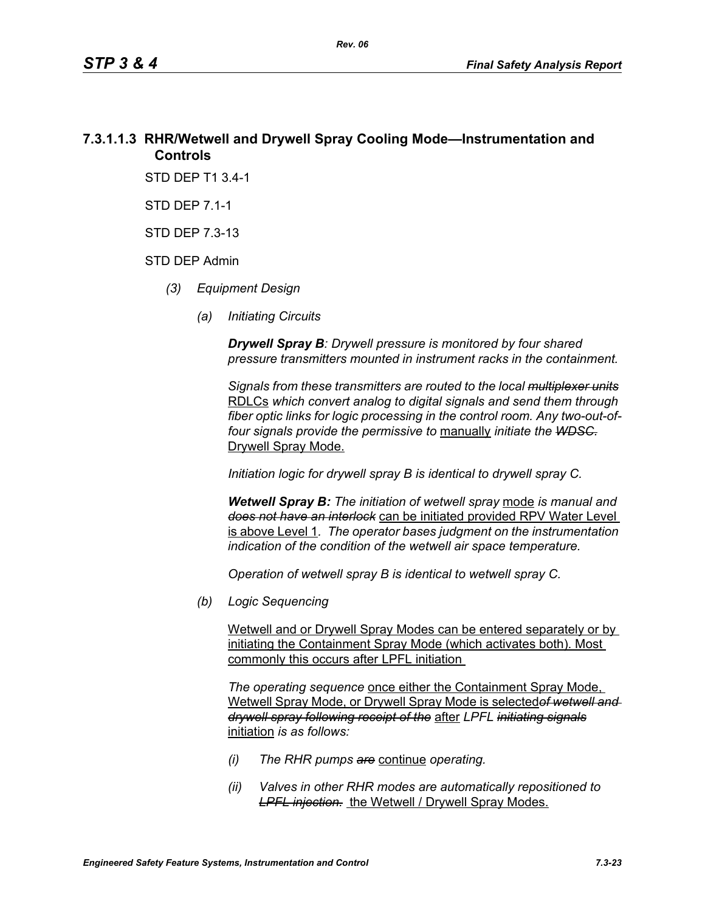# **7.3.1.1.3 RHR/Wetwell and Drywell Spray Cooling Mode—Instrumentation and Controls**

STD DEP T1 3.4-1

STD DEP 7.1-1

STD DEP 7.3-13

#### STD DEP Admin

- *(3) Equipment Design*
	- *(a) Initiating Circuits*

*Drywell Spray B: Drywell pressure is monitored by four shared pressure transmitters mounted in instrument racks in the containment.* 

*Signals from these transmitters are routed to the local multiplexer units* RDLCs *which convert analog to digital signals and send them through fiber optic links for logic processing in the control room. Any two-out-offour signals provide the permissive to* manually *initiate the WDSC.* Drywell Spray Mode.

*Initiation logic for drywell spray B is identical to drywell spray C.*

*Wetwell Spray B: The initiation of wetwell spray* mode *is manual and does not have an interlock* can be initiated provided RPV Water Level is above Level 1*. The operator bases judgment on the instrumentation indication of the condition of the wetwell air space temperature.*

*Operation of wetwell spray B is identical to wetwell spray C.*

*(b) Logic Sequencing*

Wetwell and or Drywell Spray Modes can be entered separately or by initiating the Containment Spray Mode (which activates both). Most commonly this occurs after LPFL initiation

*The operating sequence* once either the Containment Spray Mode, Wetwell Spray Mode, or Drywell Spray Mode is selected*of wetwell and drywell spray following receipt of the* after *LPFL initiating signals* initiation *is as follows:*

- *(i) The RHR pumps are* continue *operating.*
- *(ii) Valves in other RHR modes are automatically repositioned to*  **LPFL injection.** the Wetwell / Drywell Spray Modes.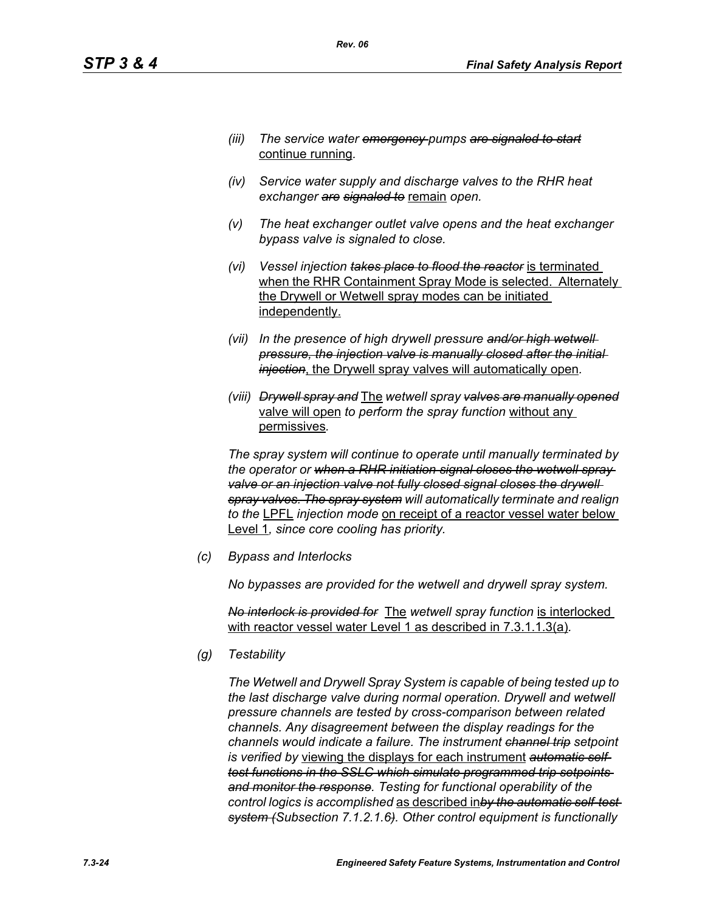- *(iii) The service water emergency pumps are signaled to start* continue running*.*
- *(iv) Service water supply and discharge valves to the RHR heat exchanger are signaled to* remain *open.*
- *(v) The heat exchanger outlet valve opens and the heat exchanger bypass valve is signaled to close.*
- *(vi) Vessel injection takes place to flood the reactor* is terminated when the RHR Containment Spray Mode is selected. Alternately the Drywell or Wetwell spray modes can be initiated independently.
- *(vii) In the presence of high drywell pressure and/or high wetwell pressure, the injection valve is manually closed after the initial injection*, the Drywell spray valves will automatically open*.*
- *(viii) Drywell spray and* The *wetwell spray valves are manually opened* valve will open *to perform the spray function* without any permissives*.*

*The spray system will continue to operate until manually terminated by the operator or when a RHR initiation signal closes the wetwell spray*  valve or an injection valve not fully closed signal closes the drywell *spray valves. The spray system will automatically terminate and realign to the* LPFL *injection mode* on receipt of a reactor vessel water below Level 1*, since core cooling has priority.*

*(c) Bypass and Interlocks*

*No bypasses are provided for the wetwell and drywell spray system.*

*No interlock is provided for* The *wetwell spray function* is interlocked with reactor vessel water Level 1 as described in 7.3.1.1.3(a)*.*

*(g) Testability*

*The Wetwell and Drywell Spray System is capable of being tested up to the last discharge valve during normal operation. Drywell and wetwell pressure channels are tested by cross-comparison between related channels. Any disagreement between the display readings for the channels would indicate a failure. The instrument channel trip setpoint is verified by* viewing the displays for each instrument *automatic selftest functions in the SSLC which simulate programmed trip setpoints and monitor the response. Testing for functional operability of the control logics is accomplished* as described in*by the automatic self-test system (Subsection 7.1.2.1.6). Other control equipment is functionally*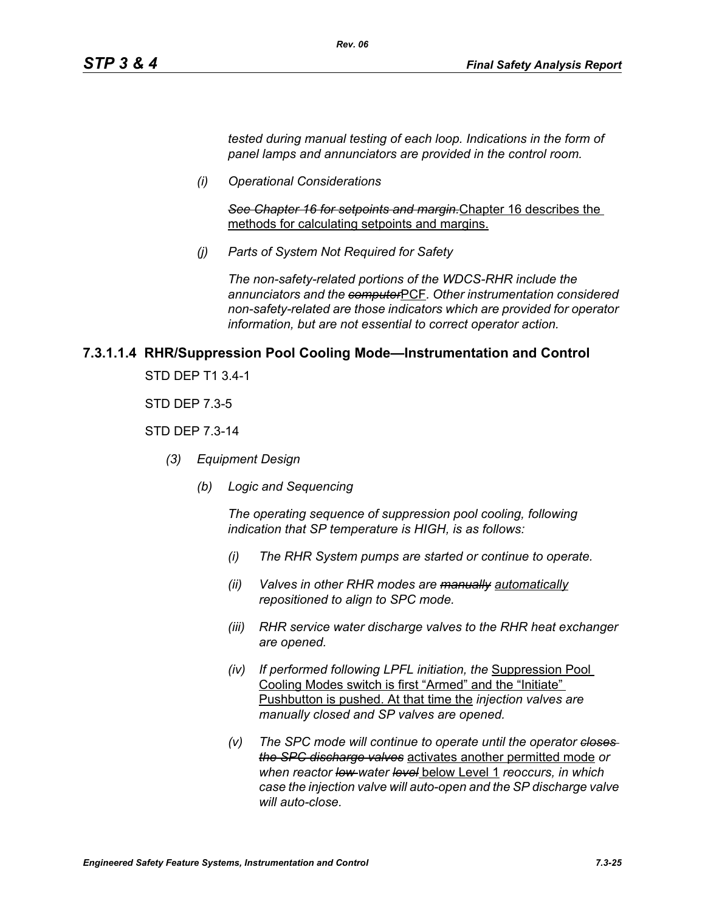*tested during manual testing of each loop. Indications in the form of panel lamps and annunciators are provided in the control room.*

*(i) Operational Considerations*

*See Chapter 16 for setpoints and margin.*Chapter 16 describes the methods for calculating setpoints and margins.

*(j) Parts of System Not Required for Safety*

*Rev. 06*

*The non-safety-related portions of the WDCS-RHR include the annunciators and the computer*PCF*. Other instrumentation considered non-safety-related are those indicators which are provided for operator information, but are not essential to correct operator action.*

#### **7.3.1.1.4 RHR/Suppression Pool Cooling Mode—Instrumentation and Control**

STD DEP T1 3.4-1

STD DEP 7.3-5

#### STD DEP 7.3-14

- *(3) Equipment Design*
	- *(b) Logic and Sequencing*

*The operating sequence of suppression pool cooling, following indication that SP temperature is HIGH, is as follows:*

- *(i) The RHR System pumps are started or continue to operate.*
- *(ii) Valves in other RHR modes are manually automatically repositioned to align to SPC mode.*
- *(iii) RHR service water discharge valves to the RHR heat exchanger are opened.*
- *(iv) If performed following LPFL initiation, the* Suppression Pool Cooling Modes switch is first "Armed" and the "Initiate" Pushbutton is pushed. At that time the *injection valves are manually closed and SP valves are opened.*
- *(v) The SPC mode will continue to operate until the operator closes the SPC discharge valves* activates another permitted mode *or when reactor low water level* below Level 1 *reoccurs, in which case the injection valve will auto-open and the SP discharge valve will auto-close.*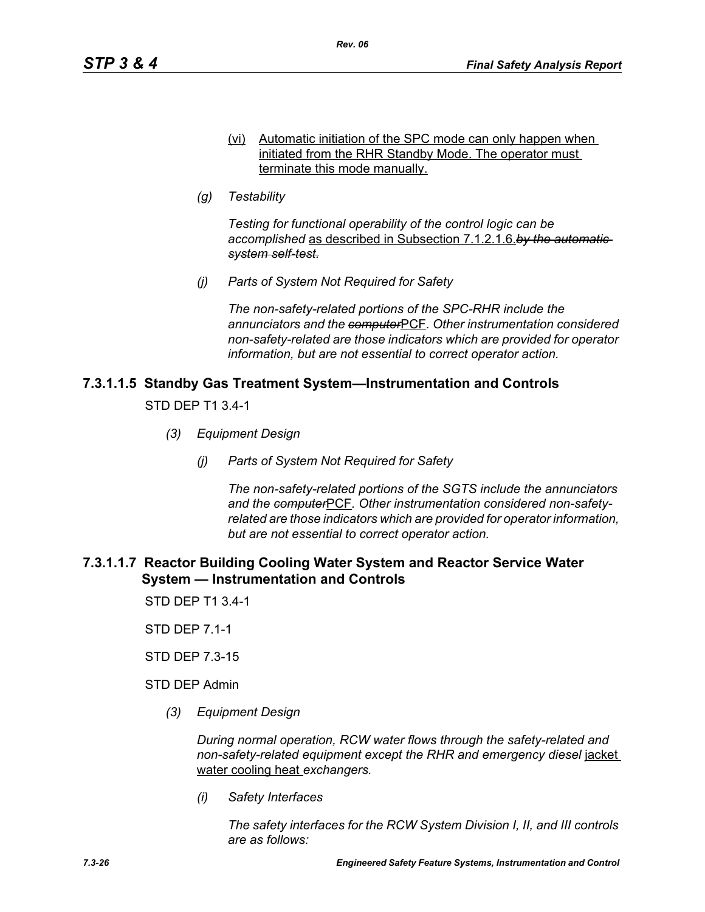- (vi) Automatic initiation of the SPC mode can only happen when initiated from the RHR Standby Mode. The operator must terminate this mode manually.
- *(g) Testability*

*Testing for functional operability of the control logic can be accomplished* as described in Subsection 7.1.2.1.6.*by the automatic system self-test.*

*(j) Parts of System Not Required for Safety*

*The non-safety-related portions of the SPC-RHR include the annunciators and the computer*PCF*. Other instrumentation considered non-safety-related are those indicators which are provided for operator information, but are not essential to correct operator action.*

# **7.3.1.1.5 Standby Gas Treatment System—Instrumentation and Controls**

STD DEP T1 3.4-1

- *(3) Equipment Design*
	- *(j) Parts of System Not Required for Safety*

*The non-safety-related portions of the SGTS include the annunciators and the computer*PCF*. Other instrumentation considered non-safetyrelated are those indicators which are provided for operator information, but are not essential to correct operator action.*

# **7.3.1.1.7 Reactor Building Cooling Water System and Reactor Service Water System — Instrumentation and Controls**

STD DEP T1 3.4-1

STD DEP 7.1-1

STD DEP 7.3-15

STD DEP Admin

*(3) Equipment Design*

*During normal operation, RCW water flows through the safety-related and non-safety-related equipment except the RHR and emergency diesel* jacket water cooling heat *exchangers.*

*(i) Safety Interfaces*

*The safety interfaces for the RCW System Division I, II, and III controls are as follows:*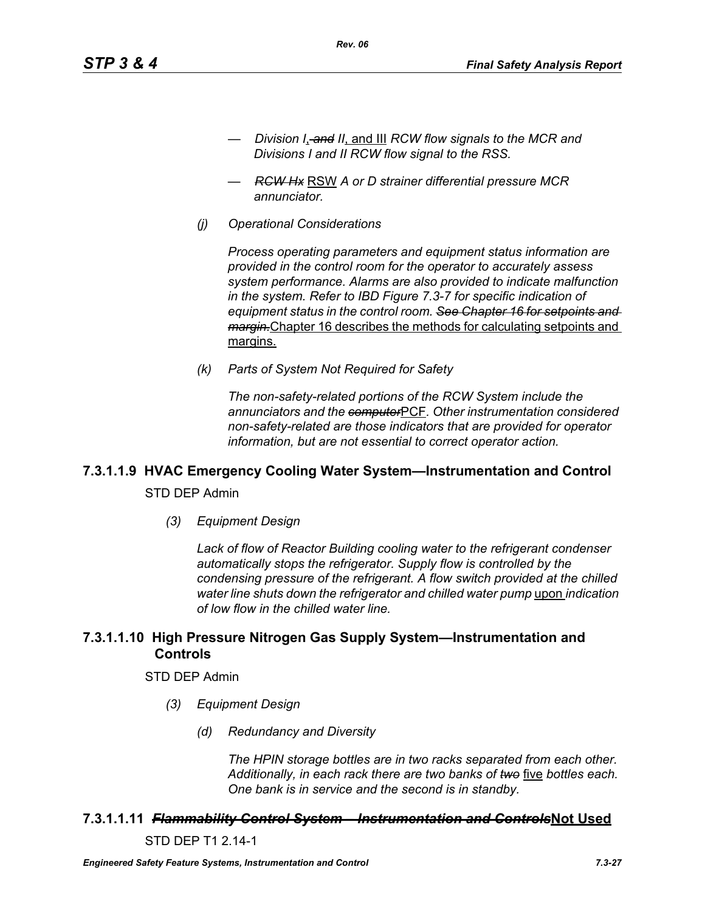- *Division I*, *and II*, and III *RCW flow signals to the MCR and Divisions I and II RCW flow signal to the RSS.*
- *RCW Hx* RSW *A or D strainer differential pressure MCR annunciator.*

*Rev. 06*

*(j) Operational Considerations*

*Process operating parameters and equipment status information are provided in the control room for the operator to accurately assess system performance. Alarms are also provided to indicate malfunction in the system. Refer to IBD Figure 7.3-7 for specific indication of equipment status in the control room. See Chapter 16 for setpoints and margin.*Chapter 16 describes the methods for calculating setpoints and margins.

*(k) Parts of System Not Required for Safety*

*The non-safety-related portions of the RCW System include the annunciators and the computer*PCF*. Other instrumentation considered non-safety-related are those indicators that are provided for operator information, but are not essential to correct operator action.*

# **7.3.1.1.9 HVAC Emergency Cooling Water System—Instrumentation and Control**

STD DEP Admin

*(3) Equipment Design*

*Lack of flow of Reactor Building cooling water to the refrigerant condenser automatically stops the refrigerator. Supply flow is controlled by the condensing pressure of the refrigerant. A flow switch provided at the chilled water line shuts down the refrigerator and chilled water pump* upon *indication of low flow in the chilled water line.*

# **7.3.1.1.10 High Pressure Nitrogen Gas Supply System—Instrumentation and Controls**

#### STD DEP Admin

- *(3) Equipment Design*
	- *(d) Redundancy and Diversity*

*The HPIN storage bottles are in two racks separated from each other. Additionally, in each rack there are two banks of two* five *bottles each. One bank is in service and the second is in standby.*

#### **7.3.1.1.11** *Flammability Control System – Instrumentation and Controls***Not Used**

STD DEP T1 2.14-1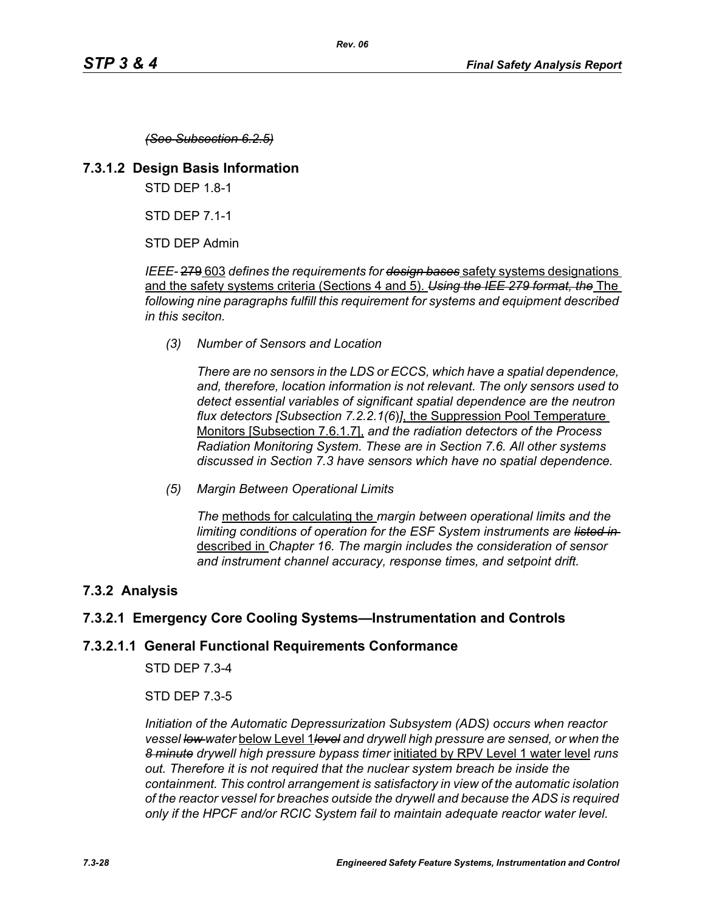*(See Subsection 6.2.5)*

#### **7.3.1.2 Design Basis Information**

STD DEP 1.8-1

STD DEP 7.1-1

STD DEP Admin

*IEEE-* 279 603 *defines the requirements for design bases* safety systems designations and the safety systems criteria (Sections 4 and 5). *Using the IEE 279 format, the* The *following nine paragraphs fulfill this requirement for systems and equipment described in this seciton.*

*(3) Number of Sensors and Location*

*There are no sensors in the LDS or ECCS, which have a spatial dependence, and, therefore, location information is not relevant. The only sensors used to detect essential variables of significant spatial dependence are the neutron flux detectors [Subsection 7.2.2.1(6*)*]*, the Suppression Pool Temperature Monitors [Subsection 7.6.1.7], *and the radiation detectors of the Process Radiation Monitoring System. These are in Section 7.6. All other systems discussed in Section 7.3 have sensors which have no spatial dependence.*

*(5) Margin Between Operational Limits*

*The* methods for calculating the *margin between operational limits and the limiting conditions of operation for the ESF System instruments are listed in*  described in *Chapter 16. The margin includes the consideration of sensor and instrument channel accuracy, response times, and setpoint drift.*

# **7.3.2 Analysis**

# **7.3.2.1 Emergency Core Cooling Systems—Instrumentation and Controls**

# **7.3.2.1.1 General Functional Requirements Conformance**

STD DEP 7.3-4

STD DEP 7.3-5

*Initiation of the Automatic Depressurization Subsystem (ADS) occurs when reactor vessel low water* below Level 1*level and drywell high pressure are sensed, or when the 8 minute drywell high pressure bypass timer* initiated by RPV Level 1 water level *runs out. Therefore it is not required that the nuclear system breach be inside the containment. This control arrangement is satisfactory in view of the automatic isolation of the reactor vessel for breaches outside the drywell and because the ADS is required only if the HPCF and/or RCIC System fail to maintain adequate reactor water level.*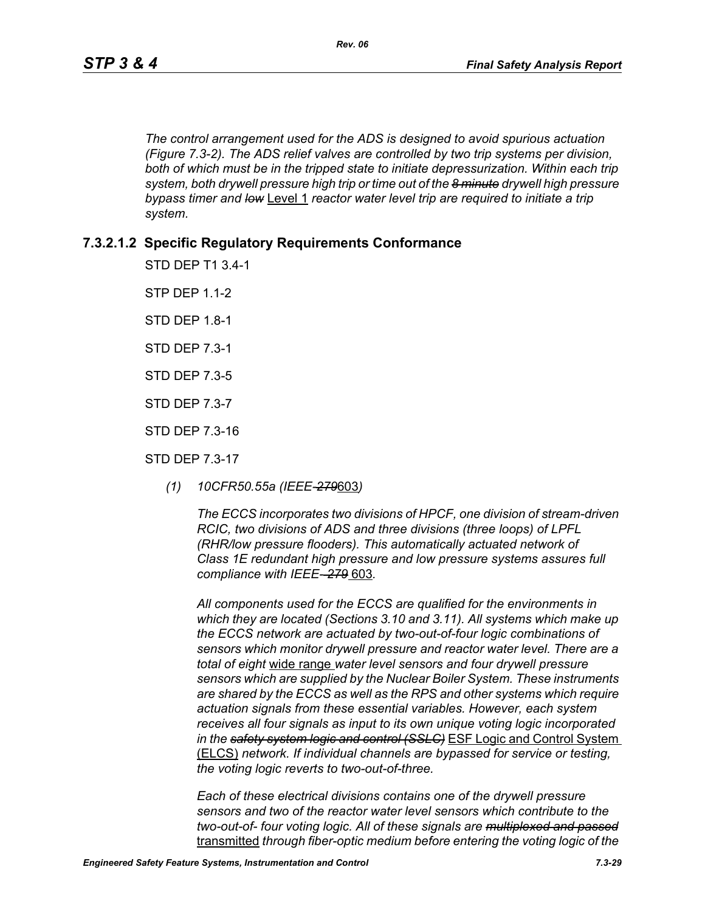*The control arrangement used for the ADS is designed to avoid spurious actuation (Figure 7.3-2). The ADS relief valves are controlled by two trip systems per division,*  both of which must be in the tripped state to initiate depressurization. Within each trip *system, both drywell pressure high trip or time out of the 8 minute drywell high pressure bypass timer and low* Level 1 *reactor water level trip are required to initiate a trip system.*

# **7.3.2.1.2 Specific Regulatory Requirements Conformance**

STD DEP T1 3.4-1

**STP DFP 1 1-2** 

STD DEP 1.8-1

STD DEP 7.3-1

STD DEP 7.3-5

STD DEP 7.3-7

STD DEP 7.3-16

STD DEP 7.3-17

*(1) 10CFR50.55a (IEEE-279*603*)*

*The ECCS incorporates two divisions of HPCF, one division of stream-driven RCIC, two divisions of ADS and three divisions (three loops) of LPFL (RHR/low pressure flooders). This automatically actuated network of Class 1E redundant high pressure and low pressure systems assures full compliance with IEEE- 279* 603*.*

*All components used for the ECCS are qualified for the environments in which they are located (Sections 3.10 and 3.11). All systems which make up the ECCS network are actuated by two-out-of-four logic combinations of sensors which monitor drywell pressure and reactor water level. There are a total of eight* wide range *water level sensors and four drywell pressure sensors which are supplied by the Nuclear Boiler System. These instruments are shared by the ECCS as well as the RPS and other systems which require actuation signals from these essential variables. However, each system receives all four signals as input to its own unique voting logic incorporated in the safety system logic and control (SSLC)* ESF Logic and Control System (ELCS) *network. If individual channels are bypassed for service or testing, the voting logic reverts to two-out-of-three.*

*Each of these electrical divisions contains one of the drywell pressure sensors and two of the reactor water level sensors which contribute to the two-out-of- four voting logic. All of these signals are multiplexed and passed* transmitted *through fiber-optic medium before entering the voting logic of the*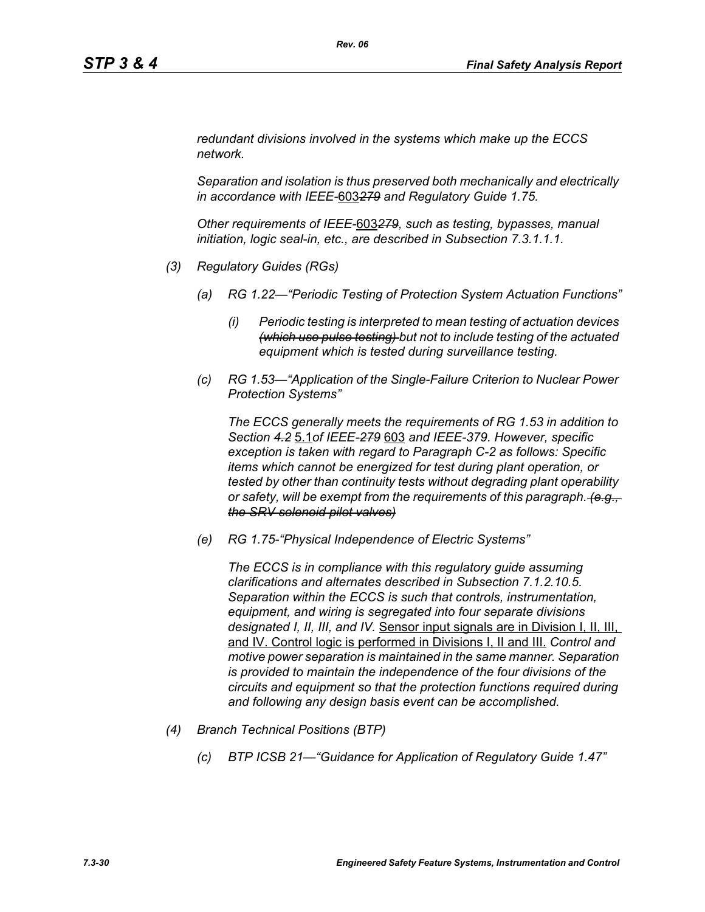*redundant divisions involved in the systems which make up the ECCS network.* 

*Separation and isolation is thus preserved both mechanically and electrically in accordance with IEEE-*603*279 and Regulatory Guide 1.75.*

*Other requirements of IEEE-*603*279, such as testing, bypasses, manual initiation, logic seal-in, etc., are described in Subsection 7.3.1.1.1.*

- *(3) Regulatory Guides (RGs)*
	- *(a) RG 1.22—"Periodic Testing of Protection System Actuation Functions"*
		- *(i) Periodic testing is interpreted to mean testing of actuation devices (which use pulse testing) but not to include testing of the actuated equipment which is tested during surveillance testing.*
	- *(c) RG 1.53—"Application of the Single-Failure Criterion to Nuclear Power Protection Systems"*

*The ECCS generally meets the requirements of RG 1.53 in addition to Section 4.2* 5.1*of IEEE-279* 603 *and IEEE-379. However, specific exception is taken with regard to Paragraph C-2 as follows: Specific items which cannot be energized for test during plant operation, or tested by other than continuity tests without degrading plant operability or safety, will be exempt from the requirements of this paragraph. (e.g., the SRV solenoid pilot valves)*

*(e) RG 1.75-"Physical Independence of Electric Systems"*

*The ECCS is in compliance with this regulatory guide assuming clarifications and alternates described in Subsection 7.1.2.10.5. Separation within the ECCS is such that controls, instrumentation, equipment, and wiring is segregated into four separate divisions designated I, II, III, and IV.* Sensor input signals are in Division I, II, III, and IV. Control logic is performed in Divisions I, II and III. *Control and motive power separation is maintained in the same manner. Separation is provided to maintain the independence of the four divisions of the circuits and equipment so that the protection functions required during and following any design basis event can be accomplished.*

- *(4) Branch Technical Positions (BTP)*
	- *(c) BTP ICSB 21—"Guidance for Application of Regulatory Guide 1.47"*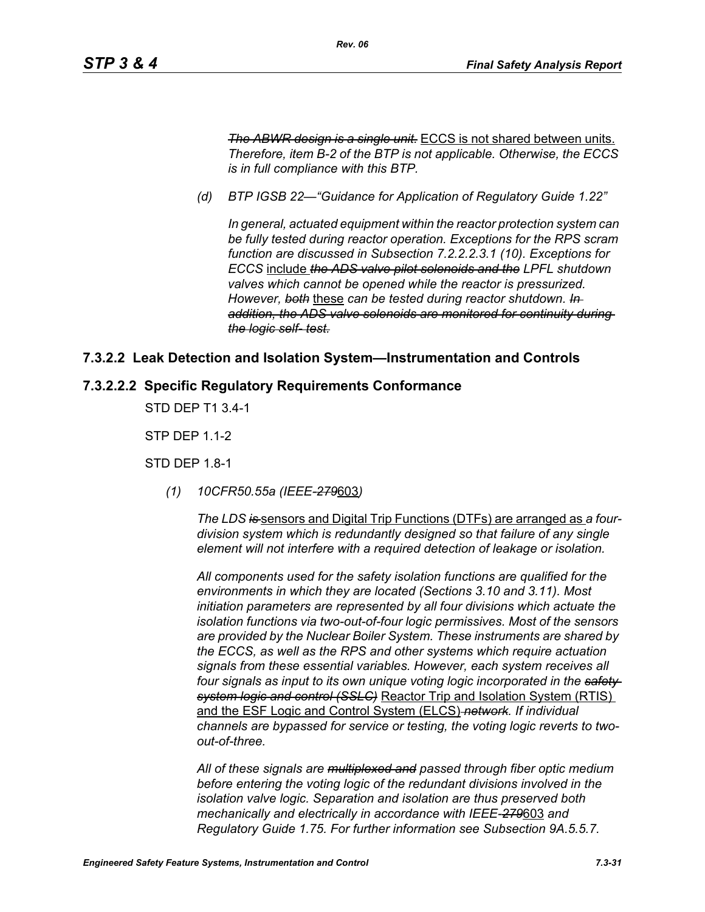*The ABWR design is a single unit.* ECCS is not shared between units. *Therefore, item B-2 of the BTP is not applicable. Otherwise, the ECCS is in full compliance with this BTP.*

*(d) BTP IGSB 22—"Guidance for Application of Regulatory Guide 1.22"*

*Rev. 06*

*In general, actuated equipment within the reactor protection system can be fully tested during reactor operation. Exceptions for the RPS scram function are discussed in Subsection 7.2.2.2.3.1 (10). Exceptions for ECCS* include *the ADS valve pilot solenoids and the LPFL shutdown valves which cannot be opened while the reactor is pressurized. However, both* these *can be tested during reactor shutdown. In addition, the ADS valve solenoids are monitored for continuity during the logic self- test.*

#### **7.3.2.2 Leak Detection and Isolation System—Instrumentation and Controls**

#### **7.3.2.2.2 Specific Regulatory Requirements Conformance**

STD DEP T1 3.4-1

STP DEP 1.1-2

STD DEP 1.8-1

*(1) 10CFR50.55a (IEEE-279*603*)*

*The LDS is* sensors and Digital Trip Functions (DTFs) are arranged as *a fourdivision system which is redundantly designed so that failure of any single element will not interfere with a required detection of leakage or isolation.*

*All components used for the safety isolation functions are qualified for the environments in which they are located (Sections 3.10 and 3.11). Most initiation parameters are represented by all four divisions which actuate the isolation functions via two-out-of-four logic permissives. Most of the sensors are provided by the Nuclear Boiler System. These instruments are shared by the ECCS, as well as the RPS and other systems which require actuation signals from these essential variables. However, each system receives all four signals as input to its own unique voting logic incorporated in the safety system logic and control (SSLC)* Reactor Trip and Isolation System (RTIS) and the ESF Logic and Control System (ELCS) *network. If individual channels are bypassed for service or testing, the voting logic reverts to twoout-of-three.*

*All of these signals are multiplexed and passed through fiber optic medium before entering the voting logic of the redundant divisions involved in the isolation valve logic. Separation and isolation are thus preserved both mechanically and electrically in accordance with IEEE-279*603 *and Regulatory Guide 1.75. For further information see Subsection 9A.5.5.7.*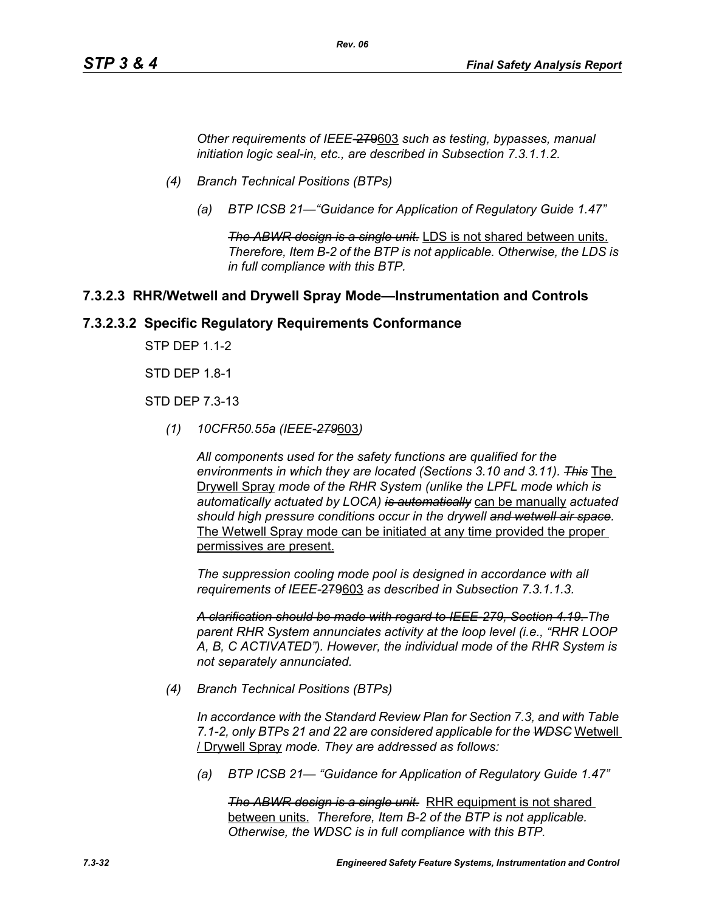*Other requirements of IEEE-*279603 *such as testing, bypasses, manual initiation logic seal-in, etc., are described in Subsection 7.3.1.1.2.*

*Rev. 06*

- *(4) Branch Technical Positions (BTPs)*
	- *(a) BTP ICSB 21—"Guidance for Application of Regulatory Guide 1.47"*

*The ABWR design is a single unit.* LDS is not shared between units. *Therefore, Item B-2 of the BTP is not applicable. Otherwise, the LDS is in full compliance with this BTP.*

#### **7.3.2.3 RHR/Wetwell and Drywell Spray Mode—Instrumentation and Controls**

#### **7.3.2.3.2 Specific Regulatory Requirements Conformance**

STP DEP 1.1-2

STD DEP 1.8-1

STD DEP 7.3-13

*(1) 10CFR50.55a (IEEE-279*603*)*

*All components used for the safety functions are qualified for the environments in which they are located (Sections 3.10 and 3.11). This* The Drywell Spray *mode of the RHR System (unlike the LPFL mode which is automatically actuated by LOCA) is automatically* can be manually *actuated should high pressure conditions occur in the drywell and wetwell air space.* The Wetwell Spray mode can be initiated at any time provided the proper permissives are present.

*The suppression cooling mode pool is designed in accordance with all requirements of IEEE-*279603 *as described in Subsection 7.3.1.1.3.*

*A clarification should be made with regard to IEEE-279, Section 4.19. The parent RHR System annunciates activity at the loop level (i.e., "RHR LOOP A, B, C ACTIVATED"). However, the individual mode of the RHR System is not separately annunciated.*

*(4) Branch Technical Positions (BTPs)*

*In accordance with the Standard Review Plan for Section 7.3, and with Table 7.1-2, only BTPs 21 and 22 are considered applicable for the WDSC* Wetwell / Drywell Spray *mode. They are addressed as follows:*

*(a) BTP ICSB 21— "Guidance for Application of Regulatory Guide 1.47"*

*The ABWR design is a single unit.* RHR equipment is not shared between units. *Therefore, Item B-2 of the BTP is not applicable. Otherwise, the WDSC is in full compliance with this BTP.*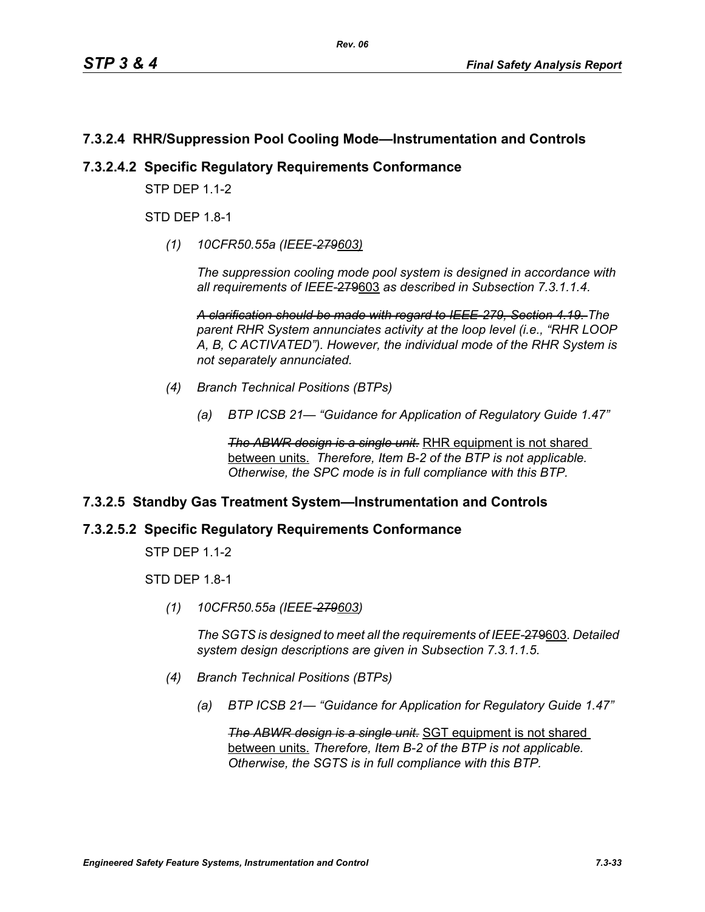# **7.3.2.4 RHR/Suppression Pool Cooling Mode—Instrumentation and Controls**

#### **7.3.2.4.2 Specific Regulatory Requirements Conformance**

**STP DFP 1 1-2** 

STD DEP 1.8-1

*(1) 10CFR50.55a (IEEE-279603)*

*The suppression cooling mode pool system is designed in accordance with all requirements of IEEE-*279603 *as described in Subsection 7.3.1.1.4.*

*A clarification should be made with regard to IEEE-279, Section 4.19. The parent RHR System annunciates activity at the loop level (i.e., "RHR LOOP A, B, C ACTIVATED"). However, the individual mode of the RHR System is not separately annunciated.*

- *(4) Branch Technical Positions (BTPs)*
	- *(a) BTP ICSB 21— "Guidance for Application of Regulatory Guide 1.47"*

**The ABWR design is a single unit.** RHR equipment is not shared between units. *Therefore, Item B-2 of the BTP is not applicable. Otherwise, the SPC mode is in full compliance with this BTP.*

# **7.3.2.5 Standby Gas Treatment System—Instrumentation and Controls**

#### **7.3.2.5.2 Specific Regulatory Requirements Conformance**

STP DEP 1.1-2

STD DEP 1.8-1

*(1) 10CFR50.55a (IEEE-279603)*

*The SGTS is designed to meet all the requirements of IEEE-*279603*. Detailed system design descriptions are given in Subsection 7.3.1.1.5.*

- *(4) Branch Technical Positions (BTPs)*
	- *(a) BTP ICSB 21— "Guidance for Application for Regulatory Guide 1.47"*

*The ABWR design is a single unit.* SGT equipment is not shared between units. *Therefore, Item B-2 of the BTP is not applicable. Otherwise, the SGTS is in full compliance with this BTP.*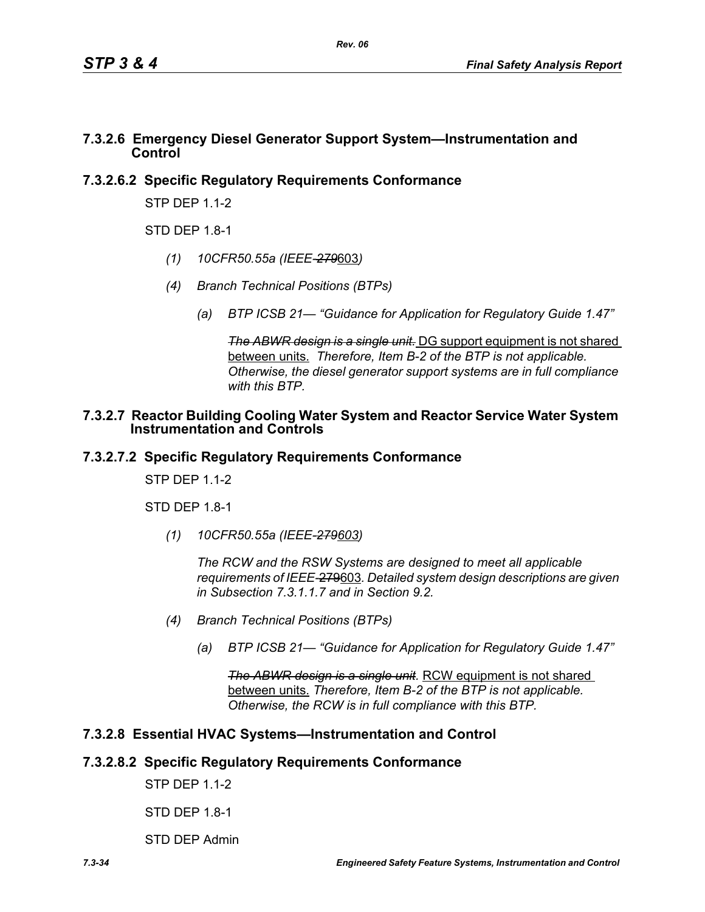#### **7.3.2.6 Emergency Diesel Generator Support System—Instrumentation and Control**

# **7.3.2.6.2 Specific Regulatory Requirements Conformance**

STP DEP 1.1-2

 $STD$  DFP 1.8-1

- *(1) 10CFR50.55a (IEEE-279*603*)*
- *(4) Branch Technical Positions (BTPs)*
	- *(a) BTP ICSB 21— "Guidance for Application for Regulatory Guide 1.47"*

*The ABWR design is a single unit.* DG support equipment is not shared between units. *Therefore, Item B-2 of the BTP is not applicable. Otherwise, the diesel generator support systems are in full compliance with this BTP.*

#### **7.3.2.7 Reactor Building Cooling Water System and Reactor Service Water System Instrumentation and Controls**

# **7.3.2.7.2 Specific Regulatory Requirements Conformance**

STP DFP 11-2

STD DEP 1.8-1

*(1) 10CFR50.55a (IEEE-279603)*

*The RCW and the RSW Systems are designed to meet all applicable requirements of IEEE-*279603*. Detailed system design descriptions are given in Subsection 7.3.1.1.7 and in Section 9.2.*

- *(4) Branch Technical Positions (BTPs)*
	- *(a) BTP ICSB 21— "Guidance for Application for Regulatory Guide 1.47"*

*The ABWR design is a single unit.* RCW equipment is not shared between units. *Therefore, Item B-2 of the BTP is not applicable. Otherwise, the RCW is in full compliance with this BTP.*

# **7.3.2.8 Essential HVAC Systems—Instrumentation and Control**

# **7.3.2.8.2 Specific Regulatory Requirements Conformance**

STP DEP 1.1-2

STD DEP 1.8-1

STD DEP Admin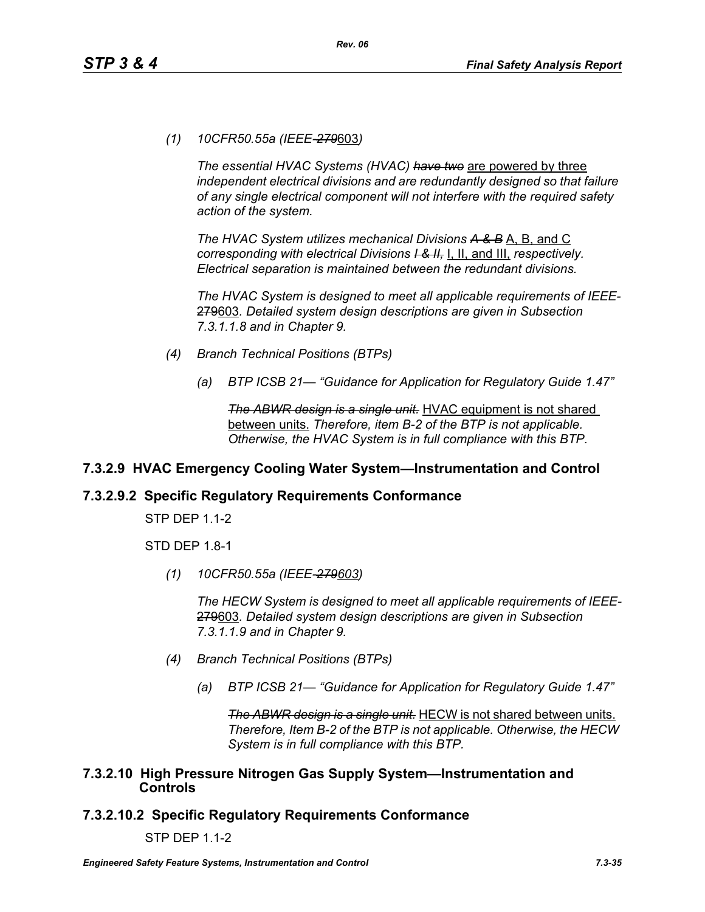*(1) 10CFR50.55a (IEEE-279*603*)*

*The essential HVAC Systems (HVAC) have two* are powered by three *independent electrical divisions and are redundantly designed so that failure of any single electrical component will not interfere with the required safety action of the system.*

*The HVAC System utilizes mechanical Divisions A & B* A, B, and C *corresponding with electrical Divisions I & II,* I, II, and III, *respectively. Electrical separation is maintained between the redundant divisions.*

*The HVAC System is designed to meet all applicable requirements of IEEE-*279603*. Detailed system design descriptions are given in Subsection 7.3.1.1.8 and in Chapter 9.*

- *(4) Branch Technical Positions (BTPs)*
	- *(a) BTP ICSB 21— "Guidance for Application for Regulatory Guide 1.47"*

*The ABWR design is a single unit.* HVAC equipment is not shared between units. *Therefore, item B-2 of the BTP is not applicable. Otherwise, the HVAC System is in full compliance with this BTP.*

# **7.3.2.9 HVAC Emergency Cooling Water System—Instrumentation and Control**

#### **7.3.2.9.2 Specific Regulatory Requirements Conformance**

STP DEP 1.1-2

STD DEP 1.8-1

*(1) 10CFR50.55a (IEEE-279603)*

*The HECW System is designed to meet all applicable requirements of IEEE-*279603*. Detailed system design descriptions are given in Subsection 7.3.1.1.9 and in Chapter 9.*

- *(4) Branch Technical Positions (BTPs)*
	- *(a) BTP ICSB 21— "Guidance for Application for Regulatory Guide 1.47"*

*The ABWR design is a single unit.* HECW is not shared between units. *Therefore, Item B-2 of the BTP is not applicable. Otherwise, the HECW System is in full compliance with this BTP.*

#### **7.3.2.10 High Pressure Nitrogen Gas Supply System—Instrumentation and Controls**

# **7.3.2.10.2 Specific Regulatory Requirements Conformance**

STP DEP 1.1-2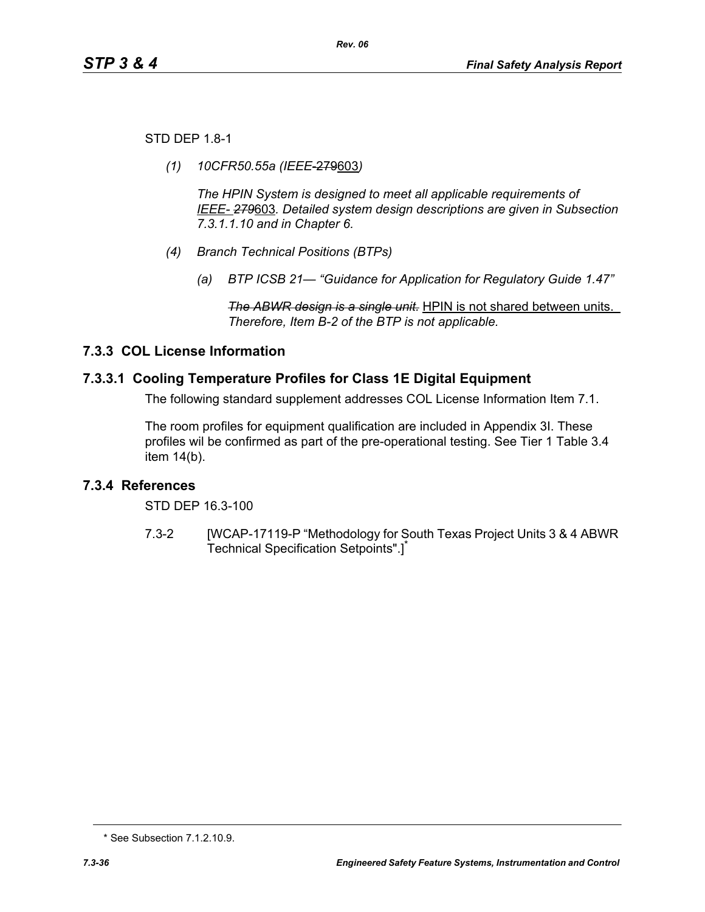STD DEP 1.8-1

*(1) 10CFR50.55a (IEEE*-279603*)*

*The HPIN System is designed to meet all applicable requirements of IEEE- 279*603*. Detailed system design descriptions are given in Subsection 7.3.1.1.10 and in Chapter 6.*

- *(4) Branch Technical Positions (BTPs)*
	- *(a) BTP ICSB 21— "Guidance for Application for Regulatory Guide 1.47"*

*The ABWR design is a single unit.* HPIN is not shared between units. *Therefore, Item B-2 of the BTP is not applicable.* 

# **7.3.3 COL License Information**

# **7.3.3.1 Cooling Temperature Profiles for Class 1E Digital Equipment**

The following standard supplement addresses COL License Information Item 7.1.

The room profiles for equipment qualification are included in Appendix 3I. These profiles wil be confirmed as part of the pre-operational testing. See Tier 1 Table 3.4 item 14(b).

# **7.3.4 References**

STD DEP 16.3-100

7.3-2 [WCAP-17119-P "Methodology for South Texas Project Units 3 & 4 ABWR Technical Specification Setpoints".]<sup>\*</sup>

<sup>\*</sup> See Subsection 7.1.2.10.9.